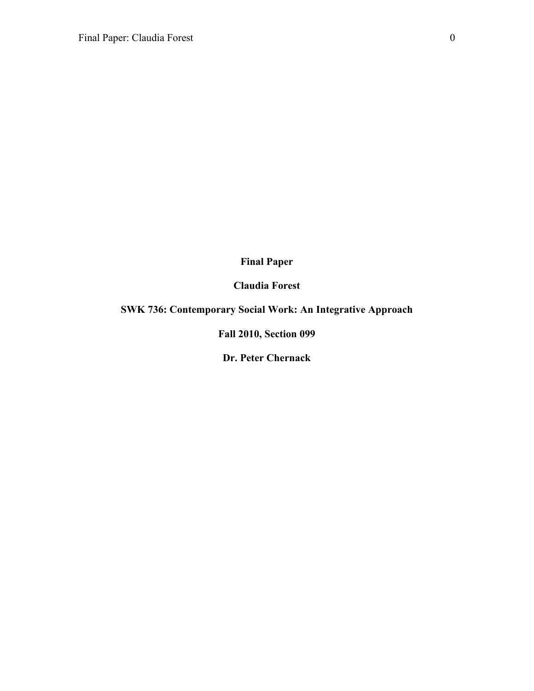## **Final Paper**

# **Claudia Forest**

# **SWK 736: Contemporary Social Work: An Integrative Approach**

# **Fall 2010, Section 099**

# **Dr. Peter Chernack**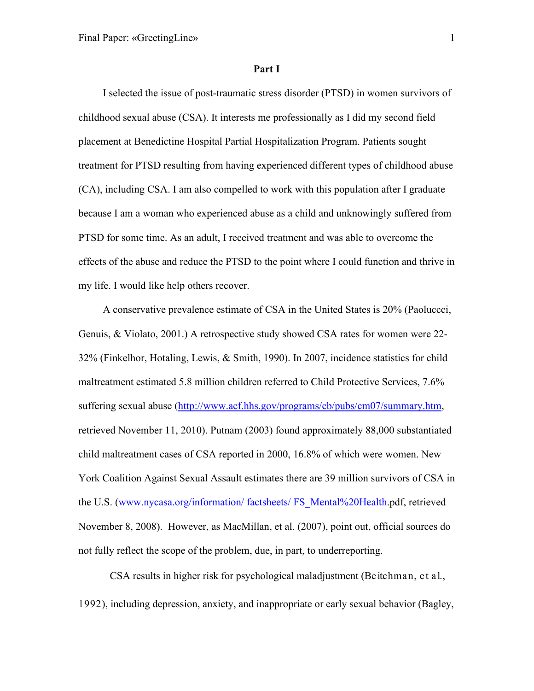### **Part I**

I selected the issue of post-traumatic stress disorder (PTSD) in women survivors of childhood sexual abuse (CSA). It interests me professionally as I did my second field placement at Benedictine Hospital Partial Hospitalization Program. Patients sought treatment for PTSD resulting from having experienced different types of childhood abuse (CA), including CSA. I am also compelled to work with this population after I graduate because I am a woman who experienced abuse as a child and unknowingly suffered from PTSD for some time. As an adult, I received treatment and was able to overcome the effects of the abuse and reduce the PTSD to the point where I could function and thrive in my life. I would like help others recover.

A conservative prevalence estimate of CSA in the United States is 20% (Paoluccci, Genuis, & Violato, 2001.) A retrospective study showed CSA rates for women were 22- 32% (Finkelhor, Hotaling, Lewis, & Smith, 1990). In 2007, incidence statistics for child maltreatment estimated 5.8 million children referred to Child Protective Services, 7.6% suffering sexual abuse [\(http://www.acf.hhs.gov/programs/cb/pubs/cm07/summary.htm,](http://www.acf.hhs.gov/programs/cb/pubs/cm07/summary.htm) retrieved November 11, 2010). Putnam (2003) found approximately 88,000 substantiated child maltreatment cases of CSA reported in 2000, 16.8% of which were women. New York Coalition Against Sexual Assault estimates there are 39 million survivors of CSA in the U.S. [\(www.nycasa.org/information/ factsheets/ FS\\_Mental%20Health.](http://www.nycasa.org/information/%20factsheets/%20FS_Mental%20Health)pdf, retrieved November 8, 2008). However, as MacMillan, et al. (2007), point out, official sources do not fully reflect the scope of the problem, due, in part, to underreporting.

CSA results in higher risk for psychological maladjustment (Beitchman, et al., 1992), including depression, anxiety, and inappropriate or early sexual behavior (Bagley,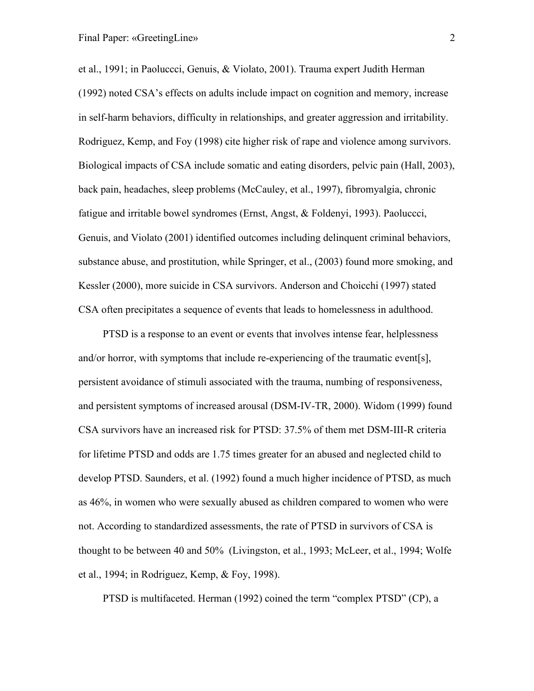et al., 1991; in Paoluccci, Genuis, & Violato, 2001). Trauma expert Judith Herman (1992) noted CSA's effects on adults include impact on cognition and memory, increase in self-harm behaviors, difficulty in relationships, and greater aggression and irritability. Rodriguez, Kemp, and Foy (1998) cite higher risk of rape and violence among survivors. Biological impacts of CSA include somatic and eating disorders, pelvic pain (Hall, 2003), back pain, headaches, sleep problems (McCauley, et al., 1997), fibromyalgia, chronic fatigue and irritable bowel syndromes (Ernst, Angst, & Foldenyi, 1993). Paoluccci, Genuis, and Violato (2001) identified outcomes including delinquent criminal behaviors, substance abuse, and prostitution, while Springer, et al., (2003) found more smoking, and Kessler (2000), more suicide in CSA survivors. Anderson and Choicchi (1997) stated CSA often precipitates a sequence of events that leads to homelessness in adulthood.

PTSD is a response to an event or events that involves intense fear, helplessness and/or horror, with symptoms that include re-experiencing of the traumatic event[s], persistent avoidance of stimuli associated with the trauma, numbing of responsiveness, and persistent symptoms of increased arousal (DSM-IV-TR, 2000). Widom (1999) found CSA survivors have an increased risk for PTSD: 37.5% of them met DSM-III-R criteria for lifetime PTSD and odds are 1.75 times greater for an abused and neglected child to develop PTSD. Saunders, et al. (1992) found a much higher incidence of PTSD, as much as 46%, in women who were sexually abused as children compared to women who were not. According to standardized assessments, the rate of PTSD in survivors of CSA is thought to be between 40 and 50% (Livingston, et al., 1993; McLeer, et al., 1994; Wolfe et al., 1994; in Rodriguez, Kemp, & Foy, 1998).

PTSD is multifaceted. Herman (1992) coined the term "complex PTSD" (CP), a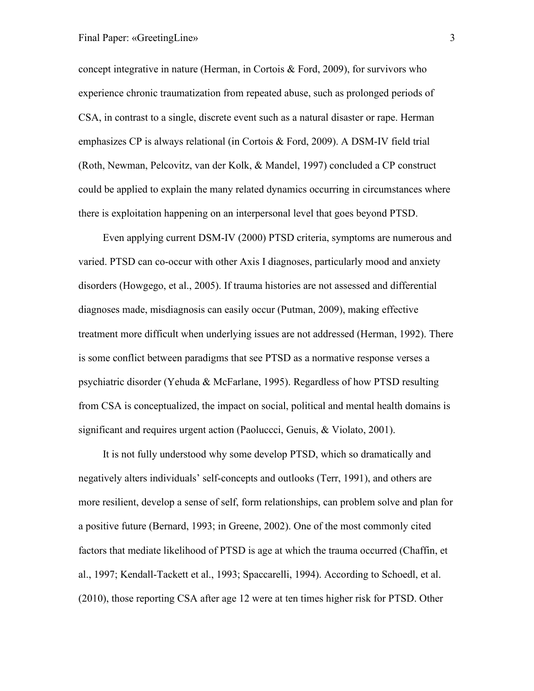concept integrative in nature (Herman, in Cortois  $\&$  Ford, 2009), for survivors who experience chronic traumatization from repeated abuse, such as prolonged periods of CSA, in contrast to a single, discrete event such as a natural disaster or rape. Herman emphasizes CP is always relational (in Cortois & Ford, 2009). A DSM-IV field trial (Roth, Newman, Pelcovitz, van der Kolk, & Mandel, 1997) concluded a CP construct could be applied to explain the many related dynamics occurring in circumstances where there is exploitation happening on an interpersonal level that goes beyond PTSD.

Even applying current DSM-IV (2000) PTSD criteria, symptoms are numerous and varied. PTSD can co-occur with other Axis I diagnoses, particularly mood and anxiety disorders (Howgego, et al., 2005). If trauma histories are not assessed and differential diagnoses made, misdiagnosis can easily occur (Putman, 2009), making effective treatment more difficult when underlying issues are not addressed (Herman, 1992). There is some conflict between paradigms that see PTSD as a normative response verses a psychiatric disorder (Yehuda & McFarlane, 1995). Regardless of how PTSD resulting from CSA is conceptualized, the impact on social, political and mental health domains is significant and requires urgent action (Paoluccci, Genuis, & Violato, 2001).

It is not fully understood why some develop PTSD, which so dramatically and negatively alters individuals' self-concepts and outlooks (Terr, 1991), and others are more resilient, develop a sense of self, form relationships, can problem solve and plan for a positive future (Bernard, 1993; in Greene, 2002). One of the most commonly cited factors that mediate likelihood of PTSD is age at which the trauma occurred (Chaffin, et al., 1997; Kendall-Tackett et al., 1993; Spaccarelli, 1994). According to Schoedl, et al. (2010), those reporting CSA after age 12 were at ten times higher risk for PTSD. Other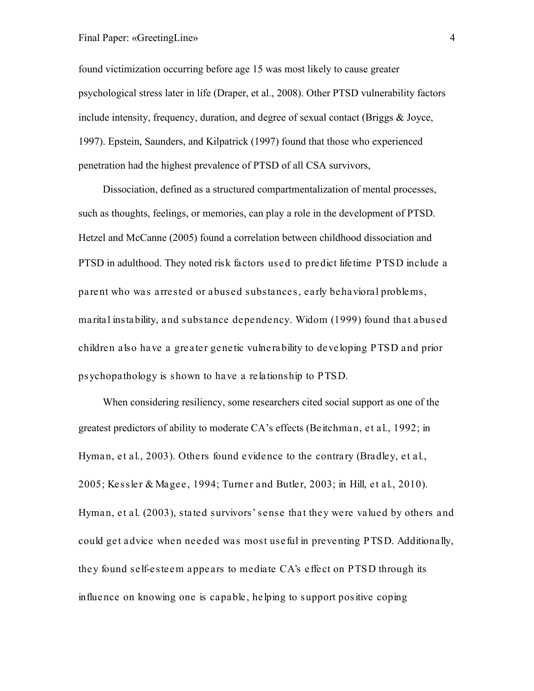## Final Paper: «GreetingLine» 4

found victimization occurring before age 15 was most likely to cause greater psychological stress later in life (Draper, et al., 2008). Other PTSD vulnerability factors include intensity, frequency, duration, and degree of sexual contact (Briggs & Joyce, 1997). Epstein, Saunders, and Kilpatrick (1997) found that those who experienced penetration had the highest prevalence of PTSD of all CSA survivors,

Dissociation, defined as a structured compartmentalization of mental processes, such as thoughts, feelings, or memories, can play a role in the development of PTSD. Hetzel and McCanne (2005) found a correlation between childhood dissociation and PTSD in adulthood. They noted risk factors used to predict lifetime PTSD include a parent who was arrested or abused substances, early behavioral problems, marital instability, and substance dependency. Widom (1999) found that abused children also have a greater genetic vulnerability to developing PTSD and prior psychopathology is shown to have a relationship to PTSD.

When considering resiliency, some researchers cited social support as one of the greatest predictors of ability to moderate CA's effects (Beitchman, et al., 1992; in Hyman, et al., 2003). Others found evidence to the contrary (Bradley, et al., 2005; Kessler & Magee, 1994; Turner and Butler, 2003; in Hill, et al., 2010). Hyman, et al. (2003), stated survivors' sense that they were valued by others and could get advice when needed was most useful in preventing PTSD. Additionally, they found self-esteem appears to mediate CA's effect on PTSD through its influence on knowing one is capable, helping to support positive coping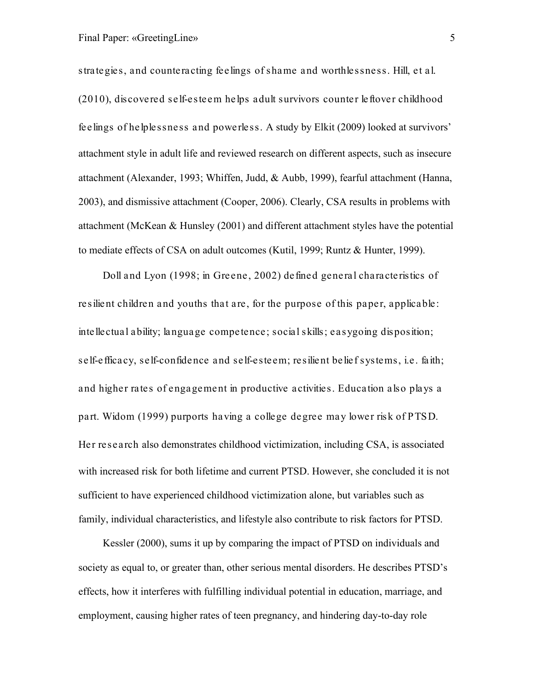strategies, and counteracting feelings of shame and worthlessness. Hill, et al. (2010), discovered self-esteem helps adult survivors counter leftover childhood feelings of helplessness and powerless. A study by Elkit (2009) looked at survivors' attachment style in adult life and reviewed research on different aspects, such as insecure attachment (Alexander, 1993; Whiffen, Judd, & Aubb, 1999), fearful attachment (Hanna, 2003), and dismissive attachment (Cooper, 2006). Clearly, CSA results in problems with attachment (McKean & Hunsley (2001) and different attachment styles have the potential to mediate effects of CSA on adult outcomes (Kutil, 1999; Runtz & Hunter, 1999).

Doll and Lyon (1998; in Greene, 2002) defined general characteristics of resilient children and youths that are, for the purpose of this paper, applicable: intellectual ability; language competence; social skills; easygoing disposition; self-efficacy, self-confidence and self-esteem; resilient belief systems, i.e. faith; and higher rates of engagement in productive activities. Education also plays a part. Widom (1999) purports having a college degree may lower risk of PTSD. Her research also demonstrates childhood victimization, including CSA, is associated with increased risk for both lifetime and current PTSD. However, she concluded it is not sufficient to have experienced childhood victimization alone, but variables such as family, individual characteristics, and lifestyle also contribute to risk factors for PTSD.

Kessler (2000), sums it up by comparing the impact of PTSD on individuals and society as equal to, or greater than, other serious mental disorders. He describes PTSD's effects, how it interferes with fulfilling individual potential in education, marriage, and employment, causing higher rates of teen pregnancy, and hindering day-to-day role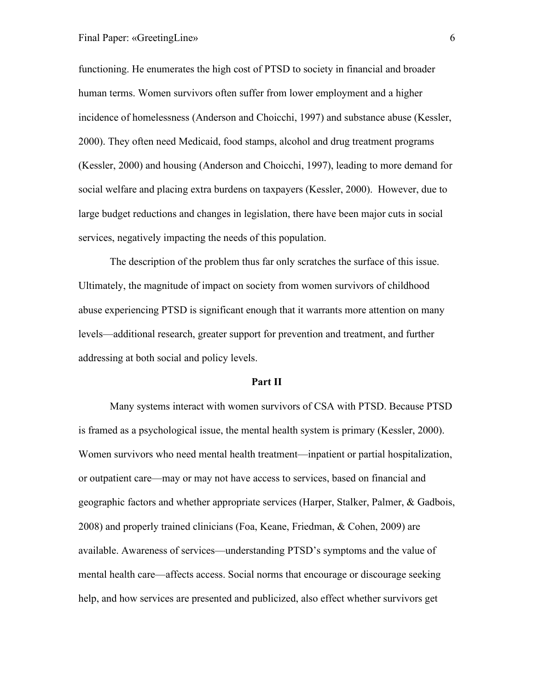functioning. He enumerates the high cost of PTSD to society in financial and broader human terms. Women survivors often suffer from lower employment and a higher incidence of homelessness (Anderson and Choicchi, 1997) and substance abuse (Kessler, 2000). They often need Medicaid, food stamps, alcohol and drug treatment programs (Kessler, 2000) and housing (Anderson and Choicchi, 1997), leading to more demand for social welfare and placing extra burdens on taxpayers (Kessler, 2000). However, due to large budget reductions and changes in legislation, there have been major cuts in social services, negatively impacting the needs of this population.

The description of the problem thus far only scratches the surface of this issue. Ultimately, the magnitude of impact on society from women survivors of childhood abuse experiencing PTSD is significant enough that it warrants more attention on many levels—additional research, greater support for prevention and treatment, and further addressing at both social and policy levels.

#### **Part II**

Many systems interact with women survivors of CSA with PTSD. Because PTSD is framed as a psychological issue, the mental health system is primary (Kessler, 2000). Women survivors who need mental health treatment—inpatient or partial hospitalization, or outpatient care—may or may not have access to services, based on financial and geographic factors and whether appropriate services (Harper, Stalker, Palmer, & Gadbois, 2008) and properly trained clinicians (Foa, Keane, Friedman, & Cohen, 2009) are available. Awareness of services—understanding PTSD's symptoms and the value of mental health care—affects access. Social norms that encourage or discourage seeking help, and how services are presented and publicized, also effect whether survivors get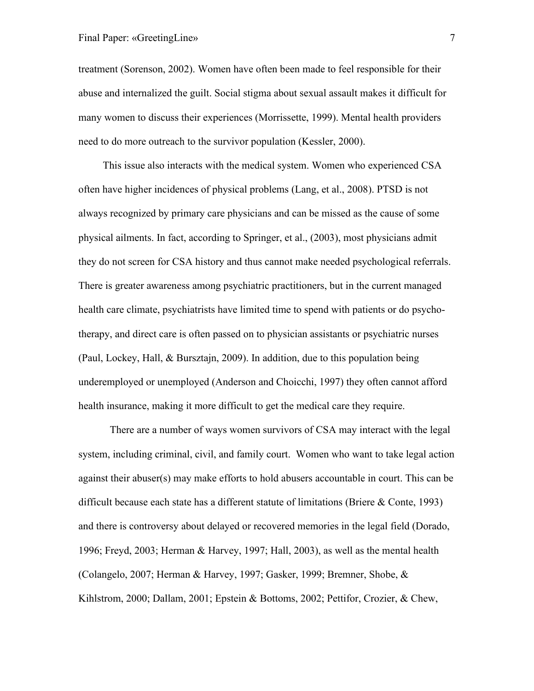treatment (Sorenson, 2002). Women have often been made to feel responsible for their abuse and internalized the guilt. Social stigma about sexual assault makes it difficult for many women to discuss their experiences (Morrissette, 1999). Mental health providers need to do more outreach to the survivor population (Kessler, 2000).

This issue also interacts with the medical system. Women who experienced CSA often have higher incidences of physical problems (Lang, et al., 2008). PTSD is not always recognized by primary care physicians and can be missed as the cause of some physical ailments. In fact, according to Springer, et al., (2003), most physicians admit they do not screen for CSA history and thus cannot make needed psychological referrals. There is greater awareness among psychiatric practitioners, but in the current managed health care climate, psychiatrists have limited time to spend with patients or do psychotherapy, and direct care is often passed on to physician assistants or psychiatric nurses (Paul, Lockey, Hall, & Bursztajn, 2009). In addition, due to this population being underemployed or unemployed (Anderson and Choicchi, 1997) they often cannot afford health insurance, making it more difficult to get the medical care they require.

There are a number of ways women survivors of CSA may interact with the legal system, including criminal, civil, and family court. Women who want to take legal action against their abuser(s) may make efforts to hold abusers accountable in court. This can be difficult because each state has a different statute of limitations (Briere & Conte, 1993) and there is controversy about delayed or recovered memories in the legal field (Dorado, 1996; Freyd, 2003; Herman & Harvey, 1997; Hall, 2003), as well as the mental health (Colangelo, 2007; Herman & Harvey, 1997; Gasker, 1999; Bremner, Shobe, & Kihlstrom, 2000; Dallam, 2001; Epstein & Bottoms, 2002; Pettifor, Crozier, & Chew,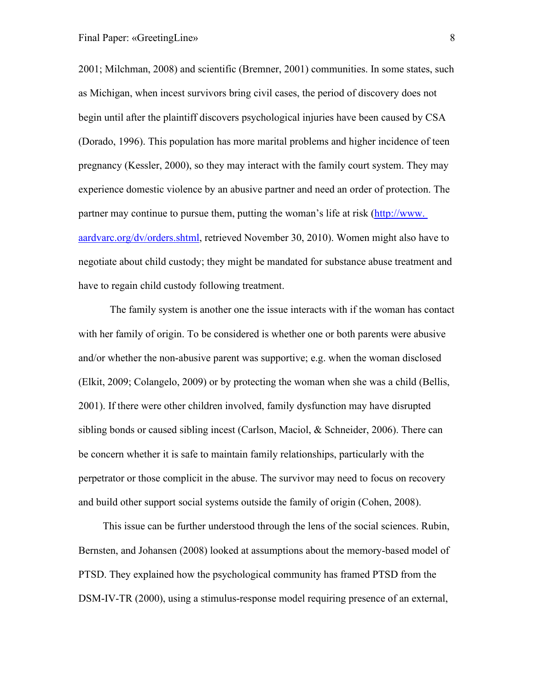2001; Milchman, 2008) and scientific (Bremner, 2001) communities. In some states, such as Michigan, when incest survivors bring civil cases, the period of discovery does not begin until after the plaintiff discovers psychological injuries have been caused by CSA (Dorado, 1996). This population has more marital problems and higher incidence of teen pregnancy (Kessler, 2000), so they may interact with the family court system. They may experience domestic violence by an abusive partner and need an order of protection. The partner may continue to pursue them, putting the woman's life at risk (http://www. aardvarc.org/dv/orders.shtml, retrieved November 30, 2010). Women might also have to negotiate about child custody; they might be mandated for substance abuse treatment and have to regain child custody following treatment.

The family system is another one the issue interacts with if the woman has contact with her family of origin. To be considered is whether one or both parents were abusive and/or whether the non-abusive parent was supportive; e.g. when the woman disclosed (Elkit, 2009; Colangelo, 2009) or by protecting the woman when she was a child (Bellis, 2001). If there were other children involved, family dysfunction may have disrupted sibling bonds or caused sibling incest (Carlson, Maciol, & Schneider, 2006). There can be concern whether it is safe to maintain family relationships, particularly with the perpetrator or those complicit in the abuse. The survivor may need to focus on recovery and build other support social systems outside the family of origin (Cohen, 2008).

This issue can be further understood through the lens of the social sciences. Rubin, Bernsten, and Johansen (2008) looked at assumptions about the memory-based model of PTSD. They explained how the psychological community has framed PTSD from the DSM-IV-TR (2000), using a stimulus-response model requiring presence of an external,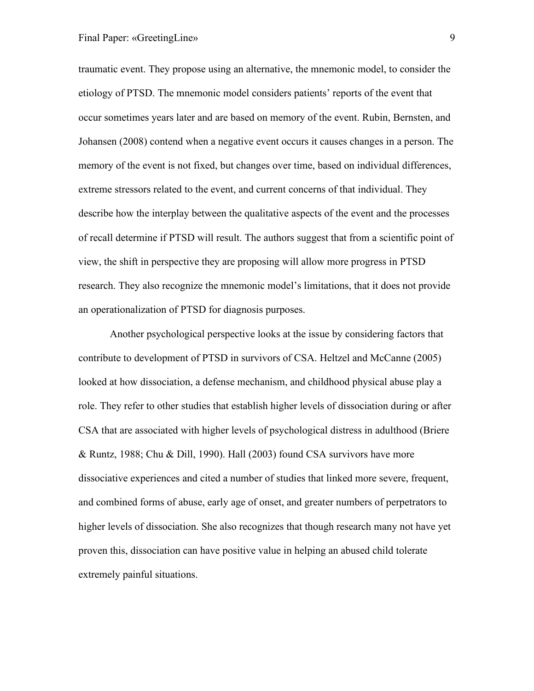traumatic event. They propose using an alternative, the mnemonic model, to consider the etiology of PTSD. The mnemonic model considers patients' reports of the event that occur sometimes years later and are based on memory of the event. Rubin, Bernsten, and Johansen (2008) contend when a negative event occurs it causes changes in a person. The memory of the event is not fixed, but changes over time, based on individual differences, extreme stressors related to the event, and current concerns of that individual. They describe how the interplay between the qualitative aspects of the event and the processes of recall determine if PTSD will result. The authors suggest that from a scientific point of view, the shift in perspective they are proposing will allow more progress in PTSD research. They also recognize the mnemonic model's limitations, that it does not provide an operationalization of PTSD for diagnosis purposes.

Another psychological perspective looks at the issue by considering factors that contribute to development of PTSD in survivors of CSA. Heltzel and McCanne (2005) looked at how dissociation, a defense mechanism, and childhood physical abuse play a role. They refer to other studies that establish higher levels of dissociation during or after CSA that are associated with higher levels of psychological distress in adulthood (Briere & Runtz, 1988; Chu & Dill, 1990). Hall (2003) found CSA survivors have more dissociative experiences and cited a number of studies that linked more severe, frequent, and combined forms of abuse, early age of onset, and greater numbers of perpetrators to higher levels of dissociation. She also recognizes that though research many not have yet proven this, dissociation can have positive value in helping an abused child tolerate extremely painful situations.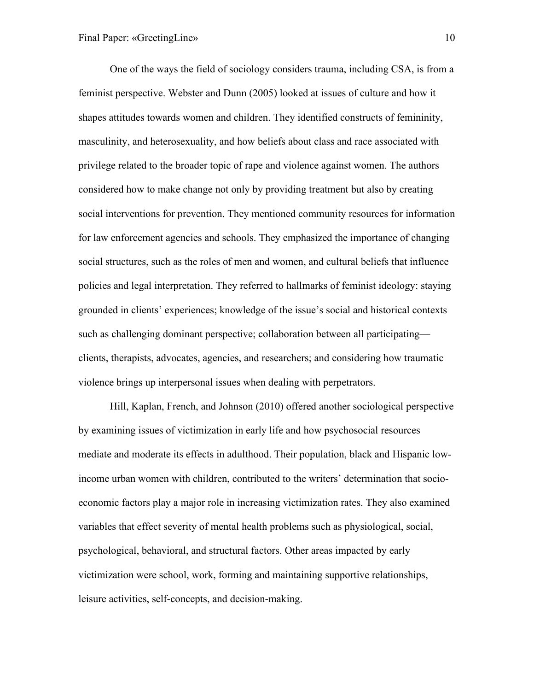One of the ways the field of sociology considers trauma, including CSA, is from a feminist perspective. Webster and Dunn (2005) looked at issues of culture and how it shapes attitudes towards women and children. They identified constructs of femininity, masculinity, and heterosexuality, and how beliefs about class and race associated with privilege related to the broader topic of rape and violence against women. The authors considered how to make change not only by providing treatment but also by creating social interventions for prevention. They mentioned community resources for information for law enforcement agencies and schools. They emphasized the importance of changing social structures, such as the roles of men and women, and cultural beliefs that influence policies and legal interpretation. They referred to hallmarks of feminist ideology: staying grounded in clients' experiences; knowledge of the issue's social and historical contexts such as challenging dominant perspective; collaboration between all participating clients, therapists, advocates, agencies, and researchers; and considering how traumatic violence brings up interpersonal issues when dealing with perpetrators.

Hill, Kaplan, French, and Johnson (2010) offered another sociological perspective by examining issues of victimization in early life and how psychosocial resources mediate and moderate its effects in adulthood. Their population, black and Hispanic lowincome urban women with children, contributed to the writers' determination that socioeconomic factors play a major role in increasing victimization rates. They also examined variables that effect severity of mental health problems such as physiological, social, psychological, behavioral, and structural factors. Other areas impacted by early victimization were school, work, forming and maintaining supportive relationships, leisure activities, self-concepts, and decision-making.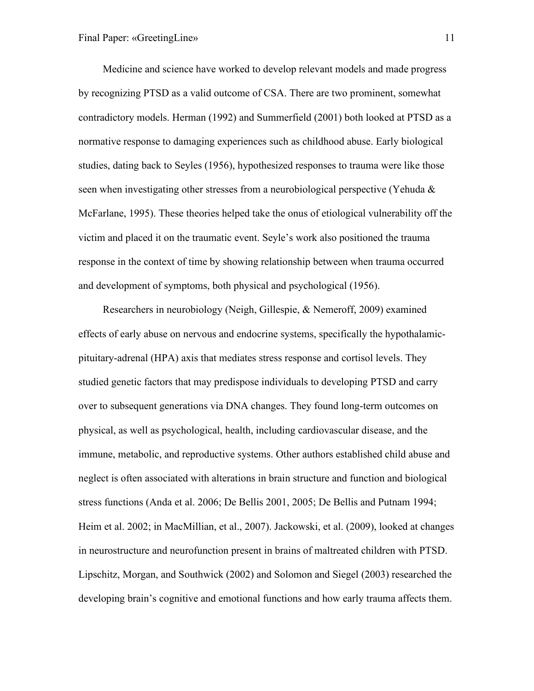Medicine and science have worked to develop relevant models and made progress by recognizing PTSD as a valid outcome of CSA. There are two prominent, somewhat contradictory models. Herman (1992) and Summerfield (2001) both looked at PTSD as a normative response to damaging experiences such as childhood abuse. Early biological studies, dating back to Seyles (1956), hypothesized responses to trauma were like those seen when investigating other stresses from a neurobiological perspective (Yehuda & McFarlane, 1995). These theories helped take the onus of etiological vulnerability off the victim and placed it on the traumatic event. Seyle's work also positioned the trauma response in the context of time by showing relationship between when trauma occurred and development of symptoms, both physical and psychological (1956).

Researchers in neurobiology (Neigh, Gillespie, & Nemeroff, 2009) examined effects of early abuse on nervous and endocrine systems, specifically the hypothalamicpituitary-adrenal (HPA) axis that mediates stress response and cortisol levels. They studied genetic factors that may predispose individuals to developing PTSD and carry over to subsequent generations via DNA changes. They found long-term outcomes on physical, as well as psychological, health, including cardiovascular disease, and the immune, metabolic, and reproductive systems. Other authors established child abuse and neglect is often associated with alterations in brain structure and function and biological stress functions (Anda et al. 2006; De Bellis 2001, 2005; De Bellis and Putnam 1994; Heim et al. 2002; in MacMillian, et al., 2007). Jackowski, et al. (2009), looked at changes in neurostructure and neurofunction present in brains of maltreated children with PTSD. Lipschitz, Morgan, and Southwick (2002) and Solomon and Siegel (2003) researched the developing brain's cognitive and emotional functions and how early trauma affects them.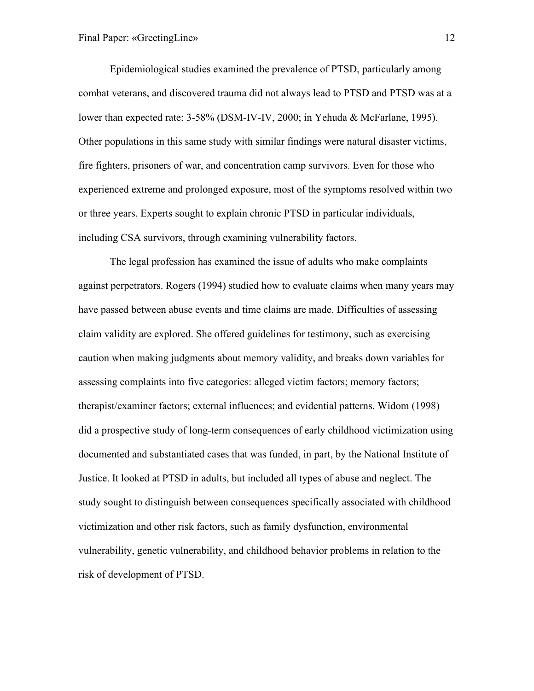Epidemiological studies examined the prevalence of PTSD, particularly among combat veterans, and discovered trauma did not always lead to PTSD and PTSD was at a lower than expected rate: 3-58% (DSM-IV-IV, 2000; in Yehuda & McFarlane, 1995). Other populations in this same study with similar findings were natural disaster victims, fire fighters, prisoners of war, and concentration camp survivors. Even for those who experienced extreme and prolonged exposure, most of the symptoms resolved within two or three years. Experts sought to explain chronic PTSD in particular individuals, including CSA survivors, through examining vulnerability factors.

The legal profession has examined the issue of adults who make complaints against perpetrators. Rogers (1994) studied how to evaluate claims when many years may have passed between abuse events and time claims are made. Difficulties of assessing claim validity are explored. She offered guidelines for testimony, such as exercising caution when making judgments about memory validity, and breaks down variables for assessing complaints into five categories: alleged victim factors; memory factors; therapist/examiner factors; external influences; and evidential patterns. Widom (1998) did a prospective study of long-term consequences of early childhood victimization using documented and substantiated cases that was funded, in part, by the National Institute of Justice. It looked at PTSD in adults, but included all types of abuse and neglect. The study sought to distinguish between consequences specifically associated with childhood victimization and other risk factors, such as family dysfunction, environmental vulnerability, genetic vulnerability, and childhood behavior problems in relation to the risk of development of PTSD.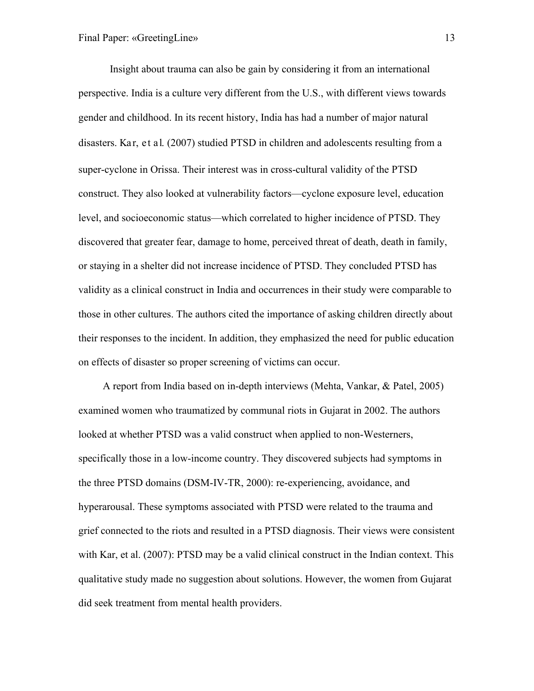Insight about trauma can also be gain by considering it from an international perspective. India is a culture very different from the U.S., with different views towards gender and childhood. In its recent history, India has had a number of major natural disasters. Kar, et al. (2007) studied PTSD in children and adolescents resulting from a super-cyclone in Orissa. Their interest was in cross-cultural validity of the PTSD construct. They also looked at vulnerability factors—cyclone exposure level, education level, and socioeconomic status—which correlated to higher incidence of PTSD. They discovered that greater fear, damage to home, perceived threat of death, death in family, or staying in a shelter did not increase incidence of PTSD. They concluded PTSD has validity as a clinical construct in India and occurrences in their study were comparable to those in other cultures. The authors cited the importance of asking children directly about their responses to the incident. In addition, they emphasized the need for public education on effects of disaster so proper screening of victims can occur.

A report from India based on in-depth interviews (Mehta, Vankar, & Patel, 2005) examined women who traumatized by communal riots in Gujarat in 2002. The authors looked at whether PTSD was a valid construct when applied to non-Westerners, specifically those in a low-income country. They discovered subjects had symptoms in the three PTSD domains (DSM-IV-TR, 2000): re-experiencing, avoidance, and hyperarousal. These symptoms associated with PTSD were related to the trauma and grief connected to the riots and resulted in a PTSD diagnosis. Their views were consistent with Kar, et al. (2007): PTSD may be a valid clinical construct in the Indian context. This qualitative study made no suggestion about solutions. However, the women from Gujarat did seek treatment from mental health providers.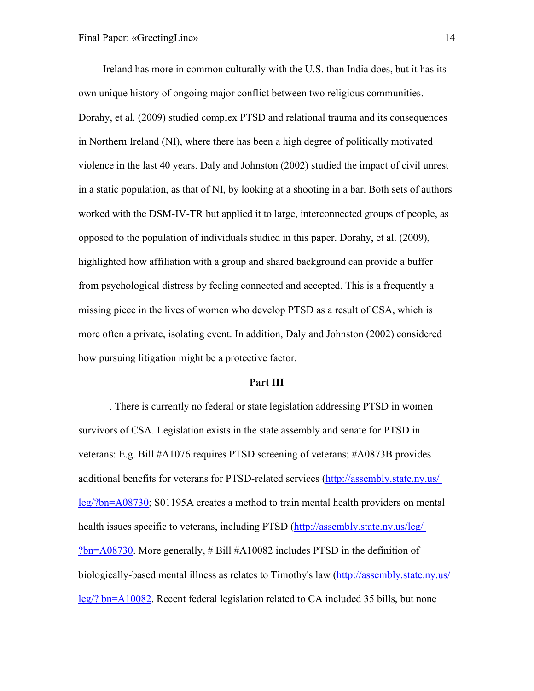Ireland has more in common culturally with the U.S. than India does, but it has its own unique history of ongoing major conflict between two religious communities. Dorahy, et al. (2009) studied complex PTSD and relational trauma and its consequences in Northern Ireland (NI), where there has been a high degree of politically motivated violence in the last 40 years. Daly and Johnston (2002) studied the impact of civil unrest in a static population, as that of NI, by looking at a shooting in a bar. Both sets of authors worked with the DSM-IV-TR but applied it to large, interconnected groups of people, as opposed to the population of individuals studied in this paper. Dorahy, et al. (2009), highlighted how affiliation with a group and shared background can provide a buffer from psychological distress by feeling connected and accepted. This is a frequently a missing piece in the lives of women who develop PTSD as a result of CSA, which is more often a private, isolating event. In addition, Daly and Johnston (2002) considered how pursuing litigation might be a protective factor.

#### **Part III**

. There is currently no federal or state legislation addressing PTSD in women survivors of CSA. Legislation exists in the state assembly and senate for PTSD in veterans: E.g. Bill #A1076 requires PTSD screening of veterans; #A0873B provides additional benefits for veterans for PTSD-related services [\(http://assembly.state.ny.us/](http://assembly.state.ny.us/%20leg/?bn=A08730)  [leg/?bn=A08730;](http://assembly.state.ny.us/%20leg/?bn=A08730) S01195A creates a method to train mental health providers on mental health issues specific to veterans, including PTSD (http://assembly.state.ny.us/leg/ [?bn=A08730.](http://assembly.state.ny.us/leg/%20?bn=A08730) More generally, # Bill #A10082 includes PTSD in the definition of biologically-based mental illness as relates to Timothy's law [\(http://assembly.state.ny.us/](http://assembly.state.ny.us/%20leg/?%20bn=A10082)  [leg/? bn=A10082.](http://assembly.state.ny.us/%20leg/?%20bn=A10082) Recent federal legislation related to CA included 35 bills, but none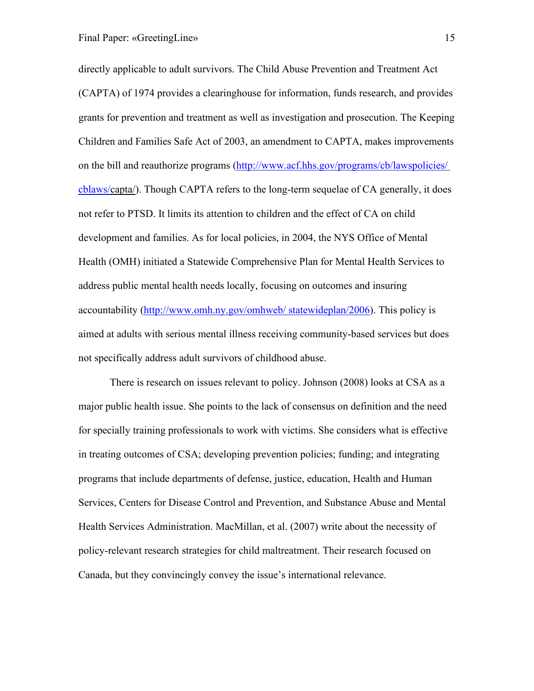directly applicable to adult survivors. The Child Abuse Prevention and Treatment Act (CAPTA) of 1974 provides a clearinghouse for information, funds research, and provides grants for prevention and treatment as well as investigation and prosecution. The Keeping Children and Families Safe Act of 2003, an amendment to CAPTA, makes improvements on the bill and reauthorize programs [\(http://www.acf.hhs.gov/programs/cb/lawspolicies/](http://www.acf.hhs.gov/programs/cb/lawspolicies/%20cblaws/)  [cblaws/c](http://www.acf.hhs.gov/programs/cb/lawspolicies/%20cblaws/)apta/). Though CAPTA refers to the long-term sequelae of CA generally, it does not refer to PTSD. It limits its attention to children and the effect of CA on child development and families. As for local policies, in 2004, the NYS Office of Mental Health (OMH) initiated a Statewide Comprehensive Plan for Mental Health Services to address public mental health needs locally, focusing on outcomes and insuring accountability [\(http://www.omh.ny.gov/omhweb/ statewideplan/2006\)](http://www.omh.ny.gov/omhweb/%20statewideplan/2006). This policy is aimed at adults with serious mental illness receiving community-based services but does not specifically address adult survivors of childhood abuse.

There is research on issues relevant to policy. Johnson (2008) looks at CSA as a major public health issue. She points to the lack of consensus on definition and the need for specially training professionals to work with victims. She considers what is effective in treating outcomes of CSA; developing prevention policies; funding; and integrating programs that include departments of defense, justice, education, Health and Human Services, Centers for Disease Control and Prevention, and Substance Abuse and Mental Health Services Administration. MacMillan, et al. (2007) write about the necessity of policy-relevant research strategies for child maltreatment. Their research focused on Canada, but they convincingly convey the issue's international relevance.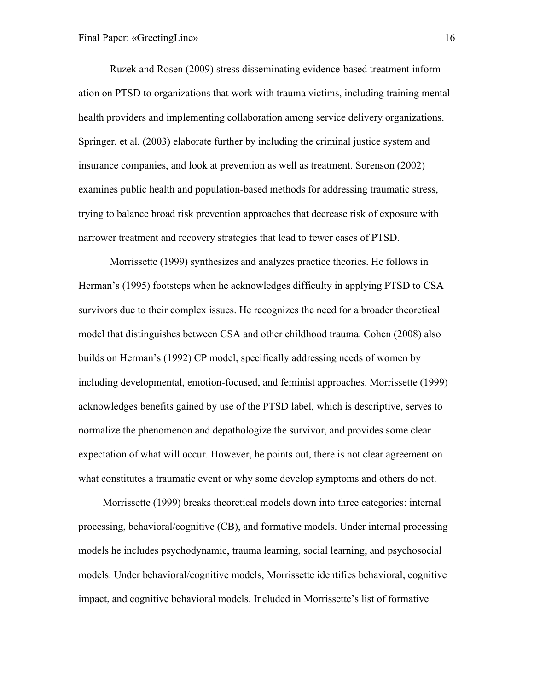Ruzek and Rosen (2009) stress disseminating evidence-based treatment information on PTSD to organizations that work with trauma victims, including training mental health providers and implementing collaboration among service delivery organizations. Springer, et al. (2003) elaborate further by including the criminal justice system and insurance companies, and look at prevention as well as treatment. Sorenson (2002) examines public health and population-based methods for addressing traumatic stress, trying to balance broad risk prevention approaches that decrease risk of exposure with narrower treatment and recovery strategies that lead to fewer cases of PTSD.

Morrissette (1999) synthesizes and analyzes practice theories. He follows in Herman's (1995) footsteps when he acknowledges difficulty in applying PTSD to CSA survivors due to their complex issues. He recognizes the need for a broader theoretical model that distinguishes between CSA and other childhood trauma. Cohen (2008) also builds on Herman's (1992) CP model, specifically addressing needs of women by including developmental, emotion-focused, and feminist approaches. Morrissette (1999) acknowledges benefits gained by use of the PTSD label, which is descriptive, serves to normalize the phenomenon and depathologize the survivor, and provides some clear expectation of what will occur. However, he points out, there is not clear agreement on what constitutes a traumatic event or why some develop symptoms and others do not.

Morrissette (1999) breaks theoretical models down into three categories: internal processing, behavioral/cognitive (CB), and formative models. Under internal processing models he includes psychodynamic, trauma learning, social learning, and psychosocial models. Under behavioral/cognitive models, Morrissette identifies behavioral, cognitive impact, and cognitive behavioral models. Included in Morrissette's list of formative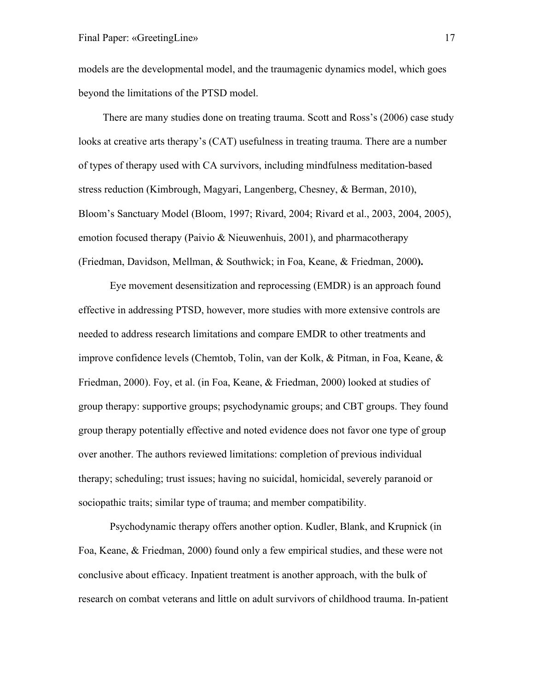models are the developmental model, and the traumagenic dynamics model, which goes beyond the limitations of the PTSD model.

There are many studies done on treating trauma. Scott and Ross's (2006) case study looks at creative arts therapy's (CAT) usefulness in treating trauma. There are a number of types of therapy used with CA survivors, including mindfulness meditation-based stress reduction (Kimbrough, Magyari, Langenberg, Chesney, & Berman, 2010), Bloom's Sanctuary Model (Bloom, 1997; Rivard, 2004; Rivard et al., 2003, 2004, 2005), emotion focused therapy (Paivio & Nieuwenhuis, 2001), and pharmacotherapy (Friedman, Davidson, Mellman, & Southwick; in Foa, Keane, & Friedman, 2000**).** 

Eye movement desensitization and reprocessing (EMDR) is an approach found effective in addressing PTSD, however, more studies with more extensive controls are needed to address research limitations and compare EMDR to other treatments and improve confidence levels (Chemtob, Tolin, van der Kolk, & Pitman, in Foa, Keane, & Friedman, 2000). Foy, et al. (in Foa, Keane, & Friedman, 2000) looked at studies of group therapy: supportive groups; psychodynamic groups; and CBT groups. They found group therapy potentially effective and noted evidence does not favor one type of group over another. The authors reviewed limitations: completion of previous individual therapy; scheduling; trust issues; having no suicidal, homicidal, severely paranoid or sociopathic traits; similar type of trauma; and member compatibility.

Psychodynamic therapy offers another option. Kudler, Blank, and Krupnick (in Foa, Keane, & Friedman, 2000) found only a few empirical studies, and these were not conclusive about efficacy. Inpatient treatment is another approach, with the bulk of research on combat veterans and little on adult survivors of childhood trauma. In-patient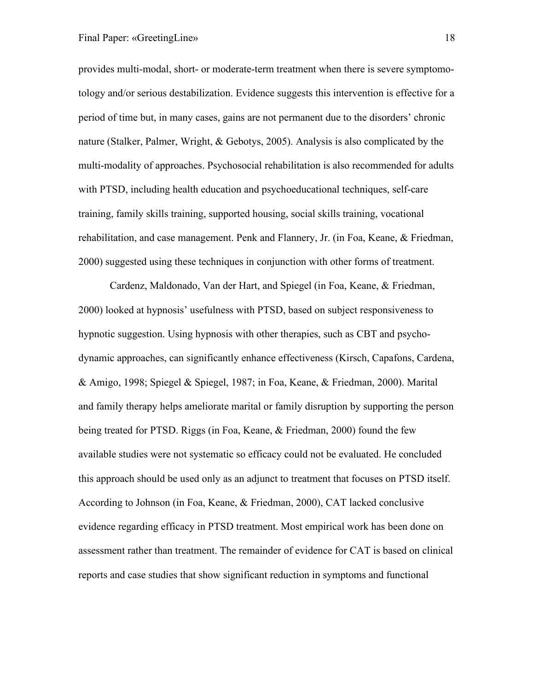provides multi-modal, short- or moderate-term treatment when there is severe symptomotology and/or serious destabilization. Evidence suggests this intervention is effective for a period of time but, in many cases, gains are not permanent due to the disorders' chronic nature (Stalker, Palmer, Wright, & Gebotys, 2005). Analysis is also complicated by the multi-modality of approaches. Psychosocial rehabilitation is also recommended for adults with PTSD, including health education and psychoeducational techniques, self-care training, family skills training, supported housing, social skills training, vocational rehabilitation, and case management. Penk and Flannery, Jr. (in Foa, Keane, & Friedman, 2000) suggested using these techniques in conjunction with other forms of treatment.

Cardenz, Maldonado, Van der Hart, and Spiegel (in Foa, Keane, & Friedman, 2000) looked at hypnosis' usefulness with PTSD, based on subject responsiveness to hypnotic suggestion. Using hypnosis with other therapies, such as CBT and psychodynamic approaches, can significantly enhance effectiveness (Kirsch, Capafons, Cardena, & Amigo, 1998; Spiegel & Spiegel, 1987; in Foa, Keane, & Friedman, 2000). Marital and family therapy helps ameliorate marital or family disruption by supporting the person being treated for PTSD. Riggs (in Foa, Keane, & Friedman, 2000) found the few available studies were not systematic so efficacy could not be evaluated. He concluded this approach should be used only as an adjunct to treatment that focuses on PTSD itself. According to Johnson (in Foa, Keane, & Friedman, 2000), CAT lacked conclusive evidence regarding efficacy in PTSD treatment. Most empirical work has been done on assessment rather than treatment. The remainder of evidence for CAT is based on clinical reports and case studies that show significant reduction in symptoms and functional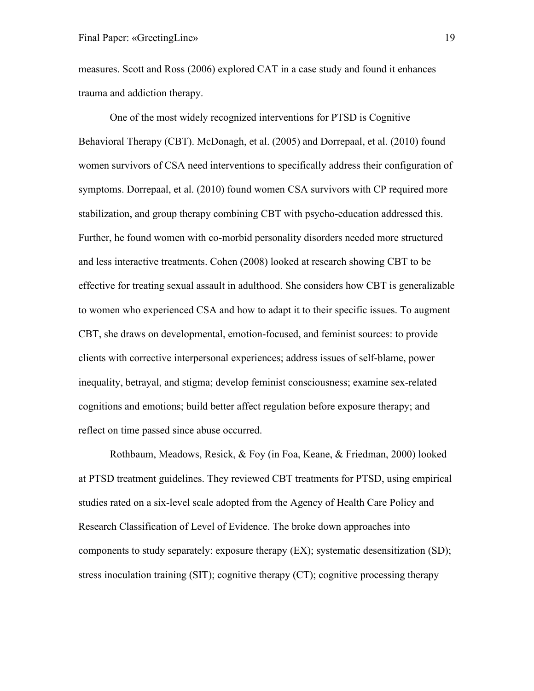measures. Scott and Ross (2006) explored CAT in a case study and found it enhances trauma and addiction therapy.

One of the most widely recognized interventions for PTSD is Cognitive Behavioral Therapy (CBT). McDonagh, et al. (2005) and Dorrepaal, et al. (2010) found women survivors of CSA need interventions to specifically address their configuration of symptoms. Dorrepaal, et al. (2010) found women CSA survivors with CP required more stabilization, and group therapy combining CBT with psycho-education addressed this. Further, he found women with co-morbid personality disorders needed more structured and less interactive treatments. Cohen (2008) looked at research showing CBT to be effective for treating sexual assault in adulthood. She considers how CBT is generalizable to women who experienced CSA and how to adapt it to their specific issues. To augment CBT, she draws on developmental, emotion-focused, and feminist sources: to provide clients with corrective interpersonal experiences; address issues of self-blame, power inequality, betrayal, and stigma; develop feminist consciousness; examine sex-related cognitions and emotions; build better affect regulation before exposure therapy; and reflect on time passed since abuse occurred.

Rothbaum, Meadows, Resick, & Foy (in Foa, Keane, & Friedman, 2000) looked at PTSD treatment guidelines. They reviewed CBT treatments for PTSD, using empirical studies rated on a six-level scale adopted from the Agency of Health Care Policy and Research Classification of Level of Evidence. The broke down approaches into components to study separately: exposure therapy (EX); systematic desensitization (SD); stress inoculation training (SIT); cognitive therapy (CT); cognitive processing therapy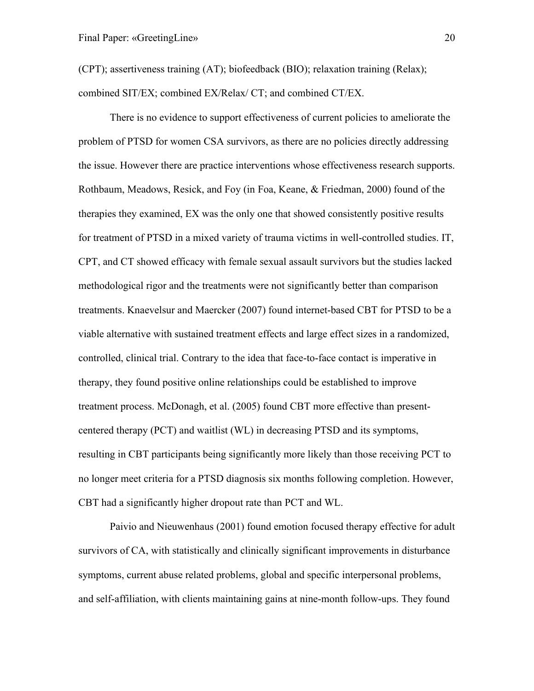(CPT); assertiveness training (AT); biofeedback (BIO); relaxation training (Relax); combined SIT/EX; combined EX/Relax/ CT; and combined CT/EX.

There is no evidence to support effectiveness of current policies to ameliorate the problem of PTSD for women CSA survivors, as there are no policies directly addressing the issue. However there are practice interventions whose effectiveness research supports. Rothbaum, Meadows, Resick, and Foy (in Foa, Keane, & Friedman, 2000) found of the therapies they examined, EX was the only one that showed consistently positive results for treatment of PTSD in a mixed variety of trauma victims in well-controlled studies. IT, CPT, and CT showed efficacy with female sexual assault survivors but the studies lacked methodological rigor and the treatments were not significantly better than comparison treatments. Knaevelsur and Maercker (2007) found internet-based CBT for PTSD to be a viable alternative with sustained treatment effects and large effect sizes in a randomized, controlled, clinical trial. Contrary to the idea that face-to-face contact is imperative in therapy, they found positive online relationships could be established to improve treatment process. McDonagh, et al. (2005) found CBT more effective than presentcentered therapy (PCT) and waitlist (WL) in decreasing PTSD and its symptoms, resulting in CBT participants being significantly more likely than those receiving PCT to no longer meet criteria for a PTSD diagnosis six months following completion. However, CBT had a significantly higher dropout rate than PCT and WL.

Paivio and Nieuwenhaus (2001) found emotion focused therapy effective for adult survivors of CA, with statistically and clinically significant improvements in disturbance symptoms, current abuse related problems, global and specific interpersonal problems, and self-affiliation, with clients maintaining gains at nine-month follow-ups. They found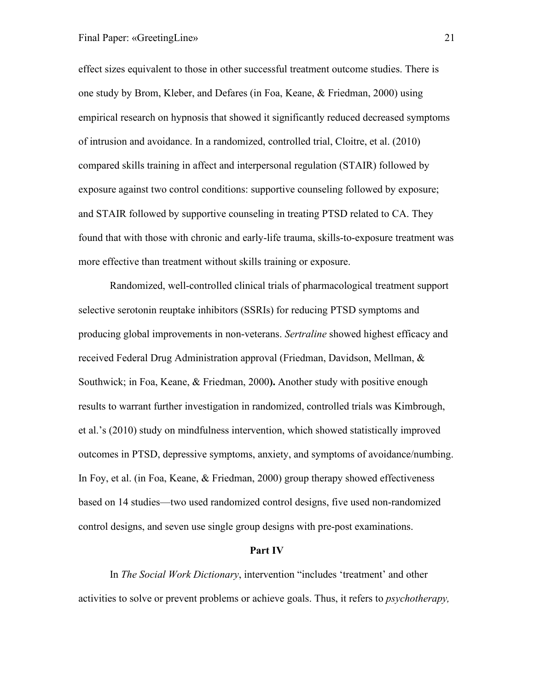effect sizes equivalent to those in other successful treatment outcome studies. There is one study by Brom, Kleber, and Defares (in Foa, Keane, & Friedman, 2000) using empirical research on hypnosis that showed it significantly reduced decreased symptoms of intrusion and avoidance. In a randomized, controlled trial, Cloitre, et al. (2010) compared skills training in affect and interpersonal regulation (STAIR) followed by exposure against two control conditions: supportive counseling followed by exposure; and STAIR followed by supportive counseling in treating PTSD related to CA. They found that with those with chronic and early-life trauma, skills-to-exposure treatment was more effective than treatment without skills training or exposure.

Randomized, well-controlled clinical trials of pharmacological treatment support selective serotonin reuptake inhibitors (SSRIs) for reducing PTSD symptoms and producing global improvements in non-veterans. *Sertraline* showed highest efficacy and received Federal Drug Administration approval (Friedman, Davidson, Mellman, & Southwick; in Foa, Keane, & Friedman, 2000**).** Another study with positive enough results to warrant further investigation in randomized, controlled trials was Kimbrough, et al.'s (2010) study on mindfulness intervention, which showed statistically improved outcomes in PTSD, depressive symptoms, anxiety, and symptoms of avoidance/numbing. In Foy, et al. (in Foa, Keane, & Friedman, 2000) group therapy showed effectiveness based on 14 studies—two used randomized control designs, five used non-randomized control designs, and seven use single group designs with pre-post examinations.

#### **Part IV**

In *The Social Work Dictionary*, intervention "includes 'treatment' and other activities to solve or prevent problems or achieve goals. Thus, it refers to *psychotherapy,*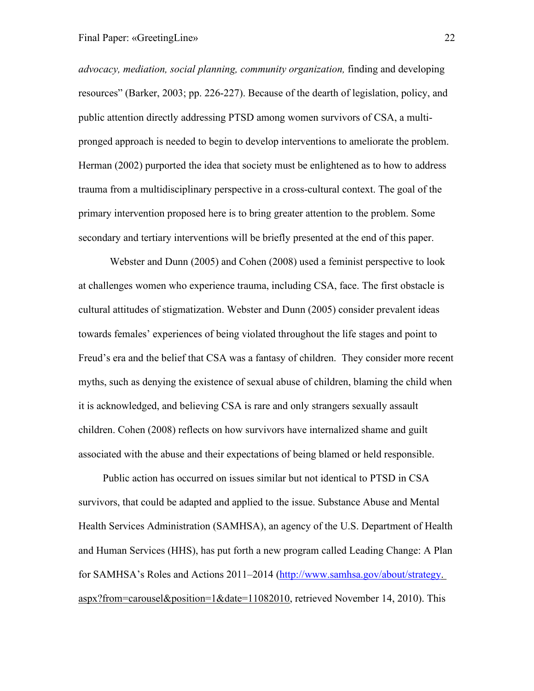*advocacy, mediation, social planning, community organization,* finding and developing resources" (Barker, 2003; pp. 226-227). Because of the dearth of legislation, policy, and public attention directly addressing PTSD among women survivors of CSA, a multipronged approach is needed to begin to develop interventions to ameliorate the problem. Herman (2002) purported the idea that society must be enlightened as to how to address trauma from a multidisciplinary perspective in a cross-cultural context. The goal of the primary intervention proposed here is to bring greater attention to the problem. Some secondary and tertiary interventions will be briefly presented at the end of this paper.

Webster and Dunn (2005) and Cohen (2008) used a feminist perspective to look at challenges women who experience trauma, including CSA, face. The first obstacle is cultural attitudes of stigmatization. Webster and Dunn (2005) consider prevalent ideas towards females' experiences of being violated throughout the life stages and point to Freud's era and the belief that CSA was a fantasy of children. They consider more recent myths, such as denying the existence of sexual abuse of children, blaming the child when it is acknowledged, and believing CSA is rare and only strangers sexually assault children. Cohen (2008) reflects on how survivors have internalized shame and guilt associated with the abuse and their expectations of being blamed or held responsible.

Public action has occurred on issues similar but not identical to PTSD in CSA survivors, that could be adapted and applied to the issue. Substance Abuse and Mental Health Services Administration (SAMHSA), an agency of the U.S. Department of Health and Human Services (HHS), has put forth a new program called Leading Change: A Plan for SAMHSA's Roles and Actions 2011–2014 [\(http://www.samhsa.gov/about/strategy.](http://www.samhsa.gov/about/strategy) aspx?from=carousel&position=1&date=11082010, retrieved November 14, 2010). This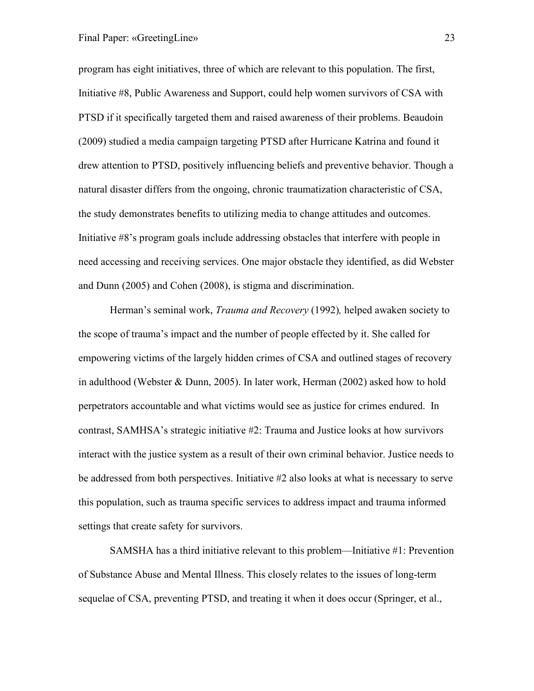program has eight initiatives, three of which are relevant to this population. The first, Initiative #8, Public Awareness and Support, could help women survivors of CSA with PTSD if it specifically targeted them and raised awareness of their problems. Beaudoin (2009) studied a media campaign targeting PTSD after Hurricane Katrina and found it drew attention to PTSD, positively influencing beliefs and preventive behavior. Though a natural disaster differs from the ongoing, chronic traumatization characteristic of CSA, the study demonstrates benefits to utilizing media to change attitudes and outcomes. Initiative #8's program goals include addressing obstacles that interfere with people in need accessing and receiving services. One major obstacle they identified, as did Webster and Dunn (2005) and Cohen (2008), is stigma and discrimination.

Herman's seminal work, *Trauma and Recovery* (1992)*,* helped awaken society to the scope of trauma's impact and the number of people effected by it. She called for empowering victims of the largely hidden crimes of CSA and outlined stages of recovery in adulthood (Webster & Dunn, 2005). In later work, Herman (2002) asked how to hold perpetrators accountable and what victims would see as justice for crimes endured. In contrast, SAMHSA's strategic initiative #2: Trauma and Justice looks at how survivors interact with the justice system as a result of their own criminal behavior. Justice needs to be addressed from both perspectives. Initiative #2 also looks at what is necessary to serve this population, such as trauma specific services to address impact and trauma informed settings that create safety for survivors.

SAMSHA has a third initiative relevant to this problem—Initiative #1: Prevention of Substance Abuse and Mental Illness. This closely relates to the issues of long-term sequelae of CSA, preventing PTSD, and treating it when it does occur (Springer, et al.,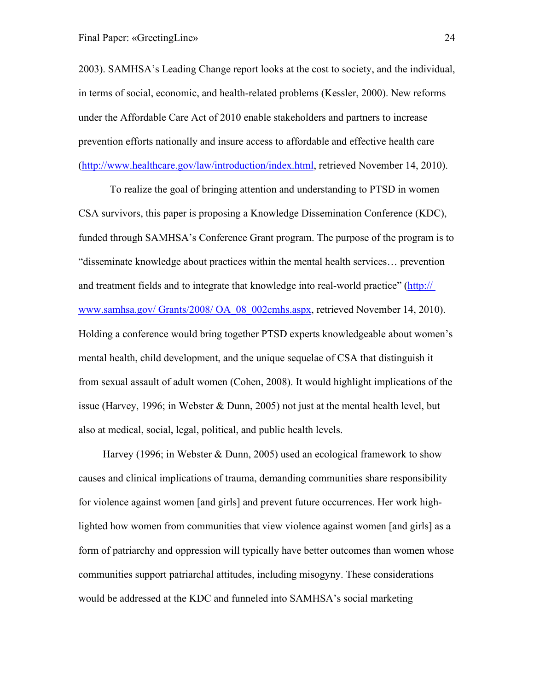2003). SAMHSA's Leading Change report looks at the cost to society, and the individual, in terms of social, economic, and health-related problems (Kessler, 2000). New reforms under the Affordable Care Act of 2010 enable stakeholders and partners to increase prevention efforts nationally and insure access to affordable and effective health care [\(http://www.healthcare.gov/law/introduction/index.html,](http://www.healthcare.gov/law/introduction/index.html) retrieved November 14, 2010).

To realize the goal of bringing attention and understanding to PTSD in women CSA survivors, this paper is proposing a Knowledge Dissemination Conference (KDC), funded through SAMHSA's Conference Grant program. The purpose of the program is to "disseminate knowledge about practices within the mental health services… prevention and treatment fields and to integrate that knowledge into real-world practice" (http:// www.samhsa.gov/ Grants/2008/ OA\_08\_002cmhs.aspx, retrieved November 14, 2010). Holding a conference would bring together PTSD experts knowledgeable about women's mental health, child development, and the unique sequelae of CSA that distinguish it from sexual assault of adult women (Cohen, 2008). It would highlight implications of the issue (Harvey, 1996; in Webster & Dunn, 2005) not just at the mental health level, but also at medical, social, legal, political, and public health levels.

Harvey (1996; in Webster & Dunn, 2005) used an ecological framework to show causes and clinical implications of trauma, demanding communities share responsibility for violence against women [and girls] and prevent future occurrences. Her work highlighted how women from communities that view violence against women [and girls] as a form of patriarchy and oppression will typically have better outcomes than women whose communities support patriarchal attitudes, including misogyny. These considerations would be addressed at the KDC and funneled into SAMHSA's social marketing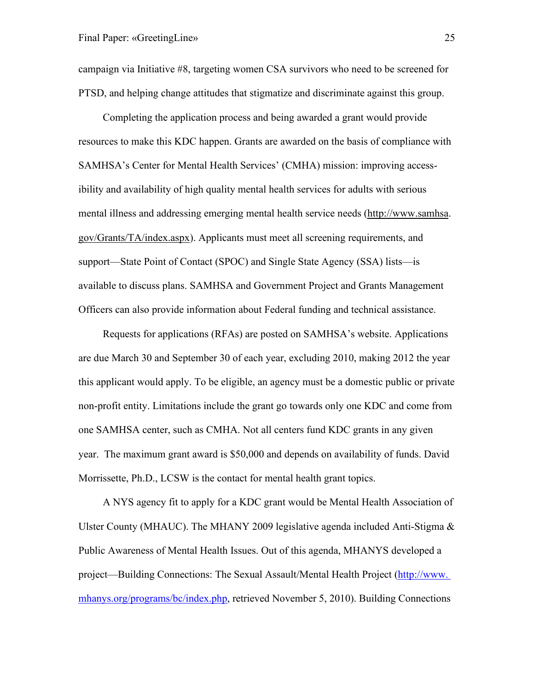campaign via Initiative #8, targeting women CSA survivors who need to be screened for PTSD, and helping change attitudes that stigmatize and discriminate against this group.

Completing the application process and being awarded a grant would provide resources to make this KDC happen. Grants are awarded on the basis of compliance with SAMHSA's Center for Mental Health Services' (CMHA) mission: improving accessibility and availability of high quality mental health services for adults with serious mental illness and addressing emerging mental health service needs [\(http://www.samhsa.](http://www.samhsa/) gov/Grants/TA/index.aspx). Applicants must meet all screening requirements, and support—State Point of Contact (SPOC) and Single State Agency (SSA) lists—is available to discuss plans. SAMHSA and Government Project and Grants Management Officers can also provide information about Federal funding and technical assistance.

Requests for applications (RFAs) are posted on SAMHSA's website. Applications are due March 30 and September 30 of each year, excluding 2010, making 2012 the year this applicant would apply. To be eligible, an agency must be a domestic public or private non-profit entity. Limitations include the grant go towards only one KDC and come from one SAMHSA center, such as CMHA. Not all centers fund KDC grants in any given year. The maximum grant award is \$50,000 and depends on availability of funds. David Morrissette, Ph.D., LCSW is the contact for mental health grant topics.

A NYS agency fit to apply for a KDC grant would be Mental Health Association of Ulster County (MHAUC). The MHANY 2009 legislative agenda included Anti-Stigma  $\&$ Public Awareness of Mental Health Issues. Out of this agenda, MHANYS developed a project—Building Connections: The Sexual Assault/Mental Health Project (http://www. mhanys.org/programs/bc/index.php, retrieved November 5, 2010). Building Connections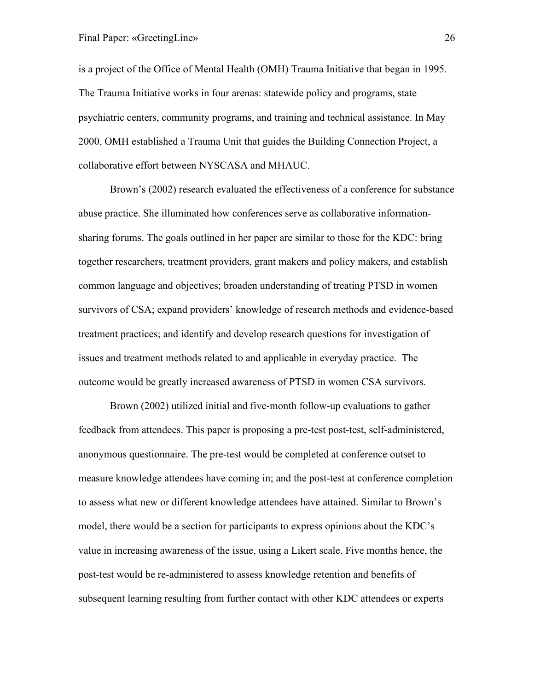is a project of the Office of Mental Health (OMH) Trauma Initiative that began in 1995. The Trauma Initiative works in four arenas: statewide policy and programs, state psychiatric centers, community programs, and training and technical assistance. In May 2000, OMH established a Trauma Unit that guides the Building Connection Project, a collaborative effort between NYSCASA and MHAUC.

Brown's (2002) research evaluated the effectiveness of a conference for substance abuse practice. She illuminated how conferences serve as collaborative informationsharing forums. The goals outlined in her paper are similar to those for the KDC: bring together researchers, treatment providers, grant makers and policy makers, and establish common language and objectives; broaden understanding of treating PTSD in women survivors of CSA; expand providers' knowledge of research methods and evidence-based treatment practices; and identify and develop research questions for investigation of issues and treatment methods related to and applicable in everyday practice. The outcome would be greatly increased awareness of PTSD in women CSA survivors.

Brown (2002) utilized initial and five-month follow-up evaluations to gather feedback from attendees. This paper is proposing a pre-test post-test, self-administered, anonymous questionnaire. The pre-test would be completed at conference outset to measure knowledge attendees have coming in; and the post-test at conference completion to assess what new or different knowledge attendees have attained. Similar to Brown's model, there would be a section for participants to express opinions about the KDC's value in increasing awareness of the issue, using a Likert scale. Five months hence, the post-test would be re-administered to assess knowledge retention and benefits of subsequent learning resulting from further contact with other KDC attendees or experts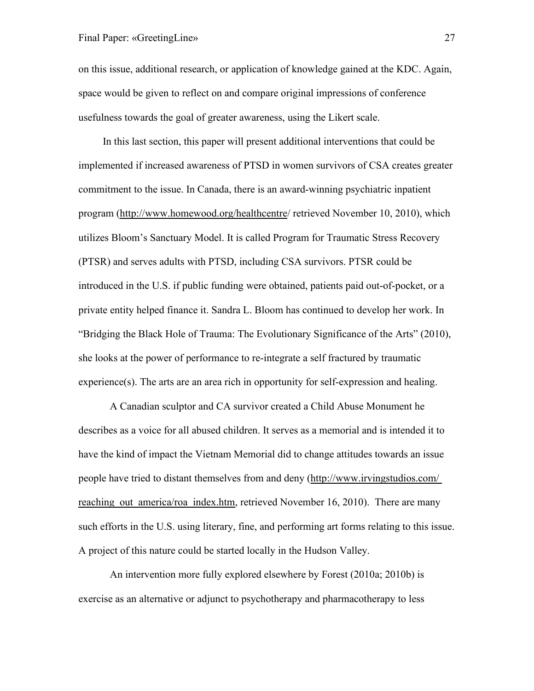on this issue, additional research, or application of knowledge gained at the KDC. Again, space would be given to reflect on and compare original impressions of conference usefulness towards the goal of greater awareness, using the Likert scale.

In this last section, this paper will present additional interventions that could be implemented if increased awareness of PTSD in women survivors of CSA creates greater commitment to the issue. In Canada, there is an award-winning psychiatric inpatient program (http://www.homewood.org/healthcentre/ retrieved November 10, 2010), which utilizes Bloom's Sanctuary Model. It is called Program for Traumatic Stress Recovery (PTSR) and serves adults with PTSD, including CSA survivors. PTSR could be introduced in the U.S. if public funding were obtained, patients paid out-of-pocket, or a private entity helped finance it. Sandra L. Bloom has continued to develop her work. In "Bridging the Black Hole of Trauma: The Evolutionary Significance of the Arts" (2010), she looks at the power of performance to re-integrate a self fractured by traumatic experience(s). The arts are an area rich in opportunity for self-expression and healing.

A Canadian sculptor and CA survivor created a Child Abuse Monument he describes as a voice for all abused children. It serves as a memorial and is intended it to have the kind of impact the Vietnam Memorial did to change attitudes towards an issue people have tried to distant themselves from and deny [\(http://www.irvingstudios.com/](http://www.irvingstudios.com/%20reaching_out_america/roa_index.htm)  reaching out america/roa index.htm, retrieved November 16, 2010). There are many such efforts in the U.S. using literary, fine, and performing art forms relating to this issue. A project of this nature could be started locally in the Hudson Valley.

An intervention more fully explored elsewhere by Forest (2010a; 2010b) is exercise as an alternative or adjunct to psychotherapy and pharmacotherapy to less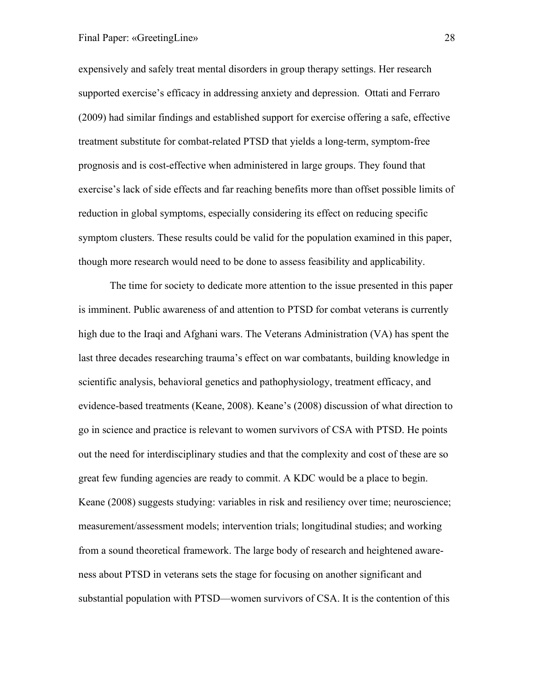## Final Paper: «GreetingLine» 28

expensively and safely treat mental disorders in group therapy settings. Her research supported exercise's efficacy in addressing anxiety and depression. Ottati and Ferraro (2009) had similar findings and established support for exercise offering a safe, effective treatment substitute for combat-related PTSD that yields a long-term, symptom-free prognosis and is cost-effective when administered in large groups. They found that exercise's lack of side effects and far reaching benefits more than offset possible limits of reduction in global symptoms, especially considering its effect on reducing specific symptom clusters. These results could be valid for the population examined in this paper, though more research would need to be done to assess feasibility and applicability.

The time for society to dedicate more attention to the issue presented in this paper is imminent. Public awareness of and attention to PTSD for combat veterans is currently high due to the Iraqi and Afghani wars. The Veterans Administration (VA) has spent the last three decades researching trauma's effect on war combatants, building knowledge in scientific analysis, behavioral genetics and pathophysiology, treatment efficacy, and evidence-based treatments (Keane, 2008). Keane's (2008) discussion of what direction to go in science and practice is relevant to women survivors of CSA with PTSD. He points out the need for interdisciplinary studies and that the complexity and cost of these are so great few funding agencies are ready to commit. A KDC would be a place to begin. Keane (2008) suggests studying: variables in risk and resiliency over time; neuroscience; measurement/assessment models; intervention trials; longitudinal studies; and working from a sound theoretical framework. The large body of research and heightened awareness about PTSD in veterans sets the stage for focusing on another significant and substantial population with PTSD—women survivors of CSA. It is the contention of this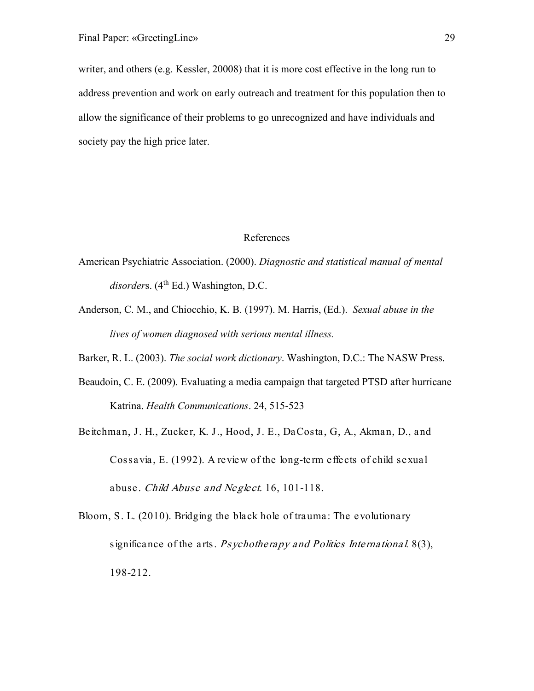writer, and others (e.g. Kessler, 20008) that it is more cost effective in the long run to address prevention and work on early outreach and treatment for this population then to allow the significance of their problems to go unrecognized and have individuals and society pay the high price later.

## References

- American Psychiatric Association. (2000). *Diagnostic and statistical manual of mental*  disorders. (4<sup>th</sup> Ed.) Washington, D.C.
- Anderson, C. M., and Chiocchio, K. B. (1997). M. Harris, (Ed.). *Sexual abuse in the lives of women diagnosed with serious mental illness.*
- Barker, R. L. (2003). *The social work dictionary*. Washington, D.C.: The NASW Press.
- Beaudoin, C. E. (2009). Evaluating a media campaign that targeted PTSD after hurricane Katrina. *Health Communications*. 24, 515-523
- Beitchman, J. H., Zucker, K. J., Hood, J. E., DaCosta, G, A., Akman, D., and Cossavia, E. (1992). A review of the long-term effects of child sexual abuse. Child Abuse and Neglect. 16, 101-118.
- Bloom, S. L. (2010). Bridging the black hole of trauma: The evolutionary significance of the arts. *Psychotherapy and Politics International.* 8(3), 198-212.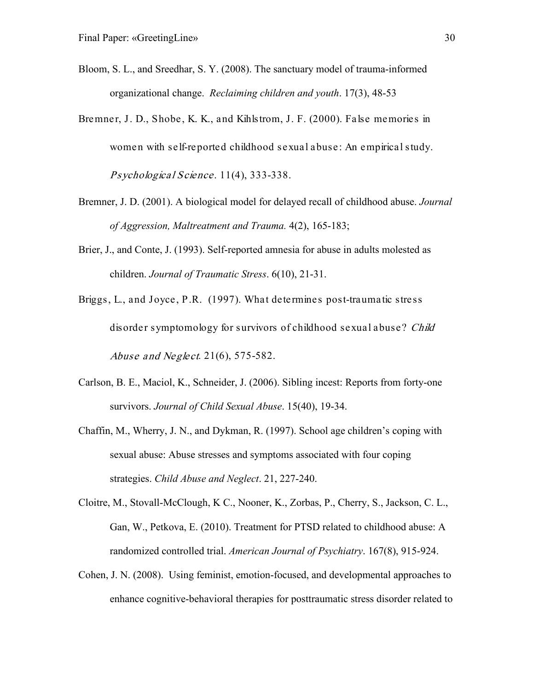- Bloom, S. L., and Sreedhar, S. Y. (2008). The sanctuary model of trauma-informed organizational change. *Reclaiming children and youth*. 17(3), 48-53
- Bremner, J. D., Shobe, K. K., and Kihlstrom, J. F. (2000). False memories in women with self-reported childhood sexual abuse: An empirical study. Psychological Science. 11(4), 333-338.
- Bremner, J. D. (2001). A biological model for delayed recall of childhood abuse. *Journal of Aggression, Maltreatment and Trauma.* 4(2), 165-183;
- Brier, J., and Conte, J. (1993). Self-reported amnesia for abuse in adults molested as children. *Journal of Traumatic Stress*. 6(10), 21-31.
- Briggs, L., and Joyce, P.R. (1997). What determines post-traumatic stress disorder symptomology for survivors of childhood sexual abuse? Child Abuse and Neglect. 21(6), 575-582.
- Carlson, B. E., Maciol, K., Schneider, J. (2006). Sibling incest: Reports from forty-one survivors. *Journal of Child Sexual Abuse*. 15(40), 19-34.
- Chaffin, M., Wherry, J. N., and Dykman, R. (1997). School age children's coping with sexual abuse: Abuse stresses and symptoms associated with four coping strategies. *Child Abuse and Neglect*. 21, 227-240.
- Cloitre, M., Stovall-McClough, K C., Nooner, K., Zorbas, P., Cherry, S., Jackson, C. L., Gan, W., Petkova, E. (2010). Treatment for PTSD related to childhood abuse: A randomized controlled trial. *American Journal of Psychiatry*. 167(8), 915-924.
- Cohen, J. N. (2008). Using feminist, emotion-focused, and developmental approaches to enhance cognitive-behavioral therapies for posttraumatic stress disorder related to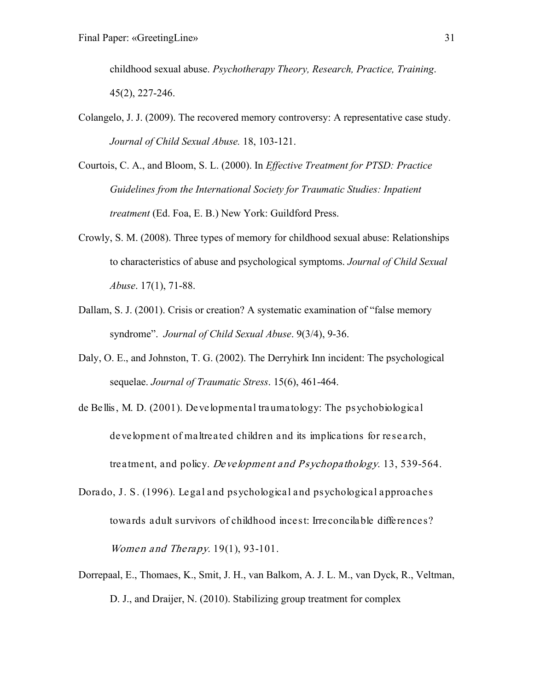childhood sexual abuse. *Psychotherapy Theory, Research, Practice, Training*. 45(2), 227-246.

- Colangelo, J. J. (2009). The recovered memory controversy: A representative case study. *Journal of Child Sexual Abuse.* 18, 103-121.
- Courtois, C. A., and Bloom, S. L. (2000). In *Effective Treatment for PTSD: Practice Guidelines from the International Society for Traumatic Studies: Inpatient treatment* (Ed. Foa, E. B.) New York: Guildford Press.
- Crowly, S. M. (2008). Three types of memory for childhood sexual abuse: Relationships to characteristics of abuse and psychological symptoms. *Journal of Child Sexual Abuse*. 17(1), 71-88.
- Dallam, S. J. (2001). Crisis or creation? A systematic examination of "false memory syndrome". *Journal of Child Sexual Abuse*. 9(3/4), 9-36.
- Daly, O. E., and Johnston, T. G. (2002). The Derryhirk Inn incident: The psychological sequelae. *Journal of Traumatic Stress*. 15(6), 461-464.
- de Bellis, M. D. (2001). Developmental traumatology: The psychobiological development of maltreated children and its implications for research, treatment, and policy. Development and Psychopathology. 13, 539-564.
- Dorado, J. S. (1996). Legal and psychological and psychological approaches towards adult survivors of childhood incest: Irreconcilable differences? Women and Therapy. 19(1), 93-101.
- Dorrepaal, E., Thomaes, K., Smit, J. H., van Balkom, A. J. L. M., van Dyck, R., Veltman, D. J., and Draijer, N. (2010). Stabilizing group treatment for complex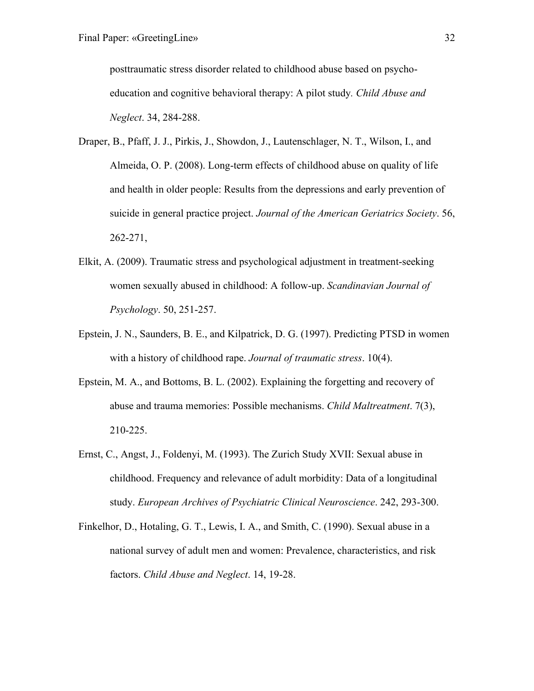posttraumatic stress disorder related to childhood abuse based on psychoeducation and cognitive behavioral therapy: A pilot study*. Child Abuse and Neglect*. 34, 284-288.

- Draper, B., Pfaff, J. J., Pirkis, J., Showdon, J., Lautenschlager, N. T., Wilson, I., and Almeida, O. P. (2008). Long-term effects of childhood abuse on quality of life and health in older people: Results from the depressions and early prevention of suicide in general practice project. *Journal of the American Geriatrics Society*. 56, 262-271,
- Elkit, A. (2009). Traumatic stress and psychological adjustment in treatment-seeking women sexually abused in childhood: A follow-up. *Scandinavian Journal of Psychology*. 50, 251-257.
- Epstein, J. N., Saunders, B. E., and Kilpatrick, D. G. (1997). Predicting PTSD in women with a history of childhood rape. *Journal of traumatic stress*. 10(4).
- Epstein, M. A., and Bottoms, B. L. (2002). Explaining the forgetting and recovery of abuse and trauma memories: Possible mechanisms. *Child Maltreatment*. 7(3), 210-225.
- Ernst, C., Angst, J., Foldenyi, M. (1993). The Zurich Study XVII: Sexual abuse in childhood. Frequency and relevance of adult morbidity: Data of a longitudinal study. *European Archives of Psychiatric Clinical Neuroscience*. 242, 293-300.
- Finkelhor, D., Hotaling, G. T., Lewis, I. A., and Smith, C. (1990). Sexual abuse in a national survey of adult men and women: Prevalence, characteristics, and risk factors. *Child Abuse and Neglect*. 14, 19-28.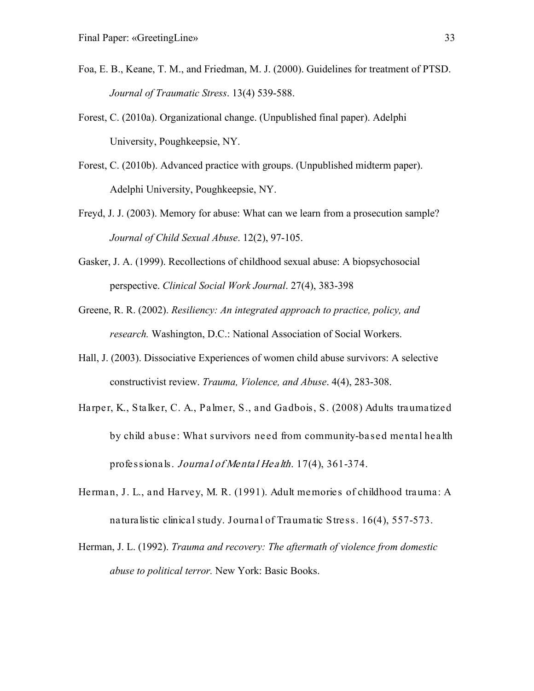- Foa, E. B., Keane, T. M., and Friedman, M. J. (2000). Guidelines for treatment of PTSD. *Journal of Traumatic Stress*. 13(4) 539-588.
- Forest, C. (2010a). Organizational change. (Unpublished final paper). Adelphi University, Poughkeepsie, NY.
- Forest, C. (2010b). Advanced practice with groups. (Unpublished midterm paper). Adelphi University, Poughkeepsie, NY.
- Freyd, J. J. (2003). Memory for abuse: What can we learn from a prosecution sample? *Journal of Child Sexual Abuse*. 12(2), 97-105.
- Gasker, J. A. (1999). Recollections of childhood sexual abuse: A biopsychosocial perspective. *Clinical Social Work Journal*. 27(4), 383-398
- Greene, R. R. (2002). *Resiliency: An integrated approach to practice, policy, and research.* Washington, D.C.: National Association of Social Workers.
- Hall, J. (2003). Dissociative Experiences of women child abuse survivors: A selective constructivist review. *Trauma, Violence, and Abuse*. 4(4), 283-308.
- Harper, K., Stalker, C. A., Palmer, S., and Gadbois, S. (2008) Adults traumatized by child abuse: What survivors need from community-based mental health professionals. Journal of Mental Health. 17(4), 361-374.
- Herman, J. L., and Harvey, M. R. (1991). Adult memories of childhood trauma: A naturalistic clinical study. Journal of Traumatic Stress. 16(4), 557-573.
- Herman, J. L. (1992). *Trauma and recovery: The aftermath of violence from domestic abuse to political terror.* New York: Basic Books.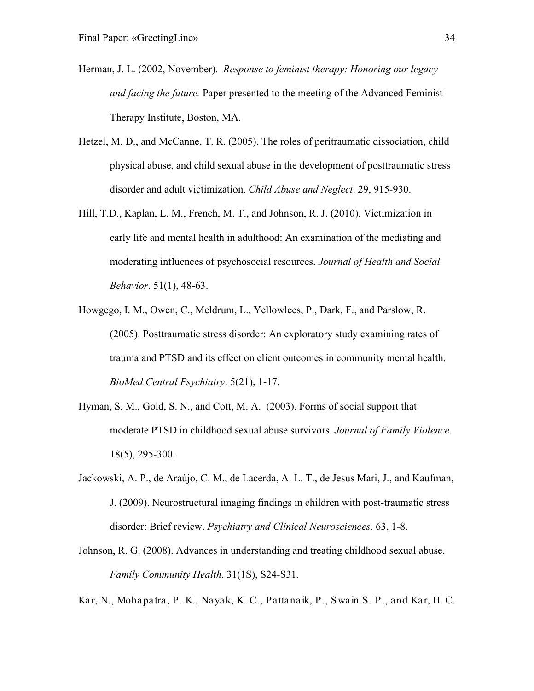- Herman, J. L. (2002, November). *Response to feminist therapy: Honoring our legacy and facing the future.* Paper presented to the meeting of the Advanced Feminist Therapy Institute, Boston, MA.
- Hetzel, M. D., and McCanne, T. R. (2005). The roles of peritraumatic dissociation, child physical abuse, and child sexual abuse in the development of posttraumatic stress disorder and adult victimization. *Child Abuse and Neglect*. 29, 915-930.
- Hill, T.D., Kaplan, L. M., French, M. T., and Johnson, R. J. (2010). Victimization in early life and mental health in adulthood: An examination of the mediating and moderating influences of psychosocial resources. *Journal of Health and Social Behavior*. 51(1), 48-63.
- Howgego, I. M., Owen, C., Meldrum, L., Yellowlees, P., Dark, F., and Parslow, R. (2005). Posttraumatic stress disorder: An exploratory study examining rates of trauma and PTSD and its effect on client outcomes in community mental health. *BioMed Central Psychiatry*. 5(21), 1-17.
- Hyman, S. M., Gold, S. N., and Cott, M. A. (2003). Forms of social support that moderate PTSD in childhood sexual abuse survivors. *Journal of Family Violence*. 18(5), 295-300.
- Jackowski, A. P., de Araújo, C. M., de Lacerda, A. L. T., de Jesus Mari, J., and Kaufman, J. (2009). Neurostructural imaging findings in children with post-traumatic stress disorder: Brief review. *Psychiatry and Clinical Neurosciences*. 63, 1-8.
- Johnson, R. G. (2008). Advances in understanding and treating childhood sexual abuse. *Family Community Health*. 31(1S), S24-S31.

Kar, N., Mohapatra, P. K., Nayak, K. C., Pattanaik, P., Swain S. P., and Kar, H. C.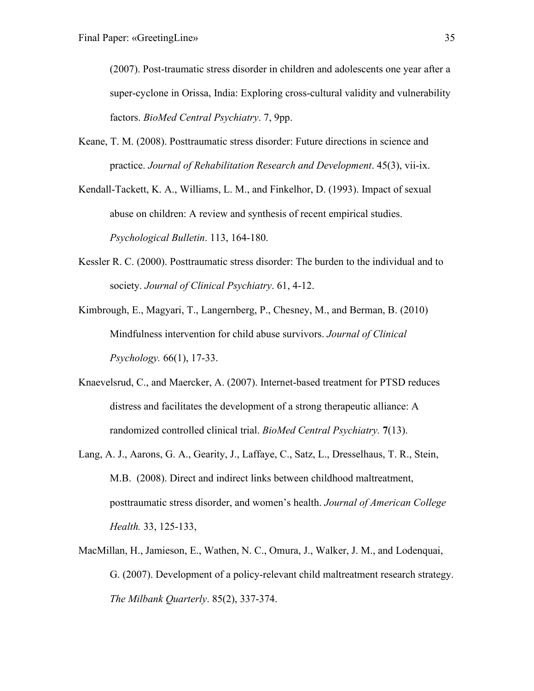(2007). Post-traumatic stress disorder in children and adolescents one year after a super-cyclone in Orissa, India: Exploring cross-cultural validity and vulnerability factors. *BioMed Central Psychiatry*. 7, 9pp.

Keane, T. M. (2008). Posttraumatic stress disorder: Future directions in science and practice. *Journal of Rehabilitation Research and Development*. 45(3), vii-ix.

Kendall-Tackett, K. A., Williams, L. M., and Finkelhor, D. (1993). Impact of sexual abuse on children: A review and synthesis of recent empirical studies. *Psychological Bulletin*. 113, 164-180.

- Kessler R. C. (2000). Posttraumatic stress disorder: The burden to the individual and to society. *Journal of Clinical Psychiatry*. 61, 4-12.
- Kimbrough, E., Magyari, T., Langernberg, P., Chesney, M., and Berman, B. (2010) Mindfulness intervention for child abuse survivors. *Journal of Clinical Psychology.* 66(1), 17-33.
- Knaevelsrud, C., and Maercker, A. (2007). Internet-based treatment for PTSD reduces distress and facilitates the development of a strong therapeutic alliance: A randomized controlled clinical trial. *BioMed Central Psychiatry.* **7**(13).
- Lang, A. J., Aarons, G. A., Gearity, J., Laffaye, C., Satz, L., Dresselhaus, T. R., Stein, M.B. (2008). Direct and indirect links between childhood maltreatment, posttraumatic stress disorder, and women's health. *Journal of American College Health.* 33, 125-133,
- MacMillan, H., Jamieson, E., Wathen, N. C., Omura, J., Walker, J. M., and Lodenquai, G. (2007). Development of a policy-relevant child maltreatment research strategy. *The Milbank Quarterly*. 85(2), 337-374.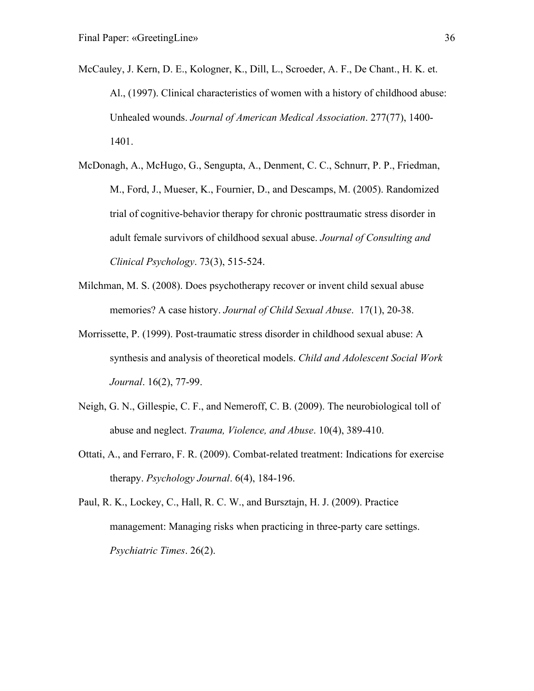- McCauley, J. Kern, D. E., Kologner, K., Dill, L., Scroeder, A. F., De Chant., H. K. et. Al., (1997). Clinical characteristics of women with a history of childhood abuse: Unhealed wounds. *Journal of American Medical Association*. 277(77), 1400- 1401.
- McDonagh, A., McHugo, G., Sengupta, A., Denment, C. C., Schnurr, P. P., Friedman, M., Ford, J., Mueser, K., Fournier, D., and Descamps, M. (2005). Randomized trial of cognitive-behavior therapy for chronic posttraumatic stress disorder in adult female survivors of childhood sexual abuse. *Journal of Consulting and Clinical Psychology*. 73(3), 515-524.
- Milchman, M. S. (2008). Does psychotherapy recover or invent child sexual abuse memories? A case history. *Journal of Child Sexual Abuse*. 17(1), 20-38.
- Morrissette, P. (1999). Post-traumatic stress disorder in childhood sexual abuse: A synthesis and analysis of theoretical models. *Child and Adolescent Social Work Journal*. 16(2), 77-99.
- Neigh, G. N., Gillespie, C. F., and Nemeroff, C. B. (2009). The neurobiological toll of abuse and neglect. *Trauma, Violence, and Abuse*. 10(4), 389-410.
- Ottati, A., and Ferraro, F. R. (2009). Combat-related treatment: Indications for exercise therapy. *Psychology Journal*. 6(4), 184-196.
- Paul, R. K., Lockey, C., Hall, R. C. W., and Bursztajn, H. J. (2009). Practice management: Managing risks when practicing in three-party care settings. *Psychiatric Times*. 26(2).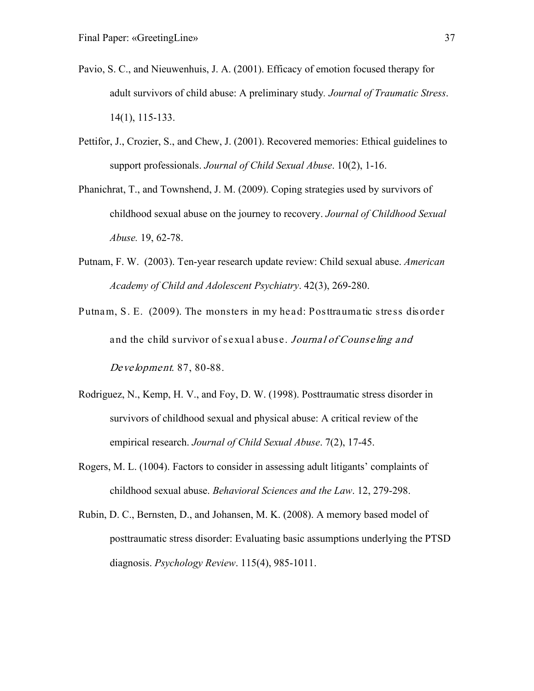- Pavio, S. C., and Nieuwenhuis, J. A. (2001). Efficacy of emotion focused therapy for adult survivors of child abuse: A preliminary study*. Journal of Traumatic Stress*. 14(1), 115-133.
- Pettifor, J., Crozier, S., and Chew, J. (2001). Recovered memories: Ethical guidelines to support professionals. *Journal of Child Sexual Abuse*. 10(2), 1-16.
- Phanichrat, T., and Townshend, J. M. (2009). Coping strategies used by survivors of childhood sexual abuse on the journey to recovery. *Journal of Childhood Sexual Abuse.* 19, 62-78.
- Putnam, F. W. (2003). Ten-year research update review: Child sexual abuse. *American Academy of Child and Adolescent Psychiatry*. 42(3), 269-280.
- Putnam, S. E. (2009). The monsters in my head: Posttraumatic stress disorder and the child survivor of sexual abuse. Journal of Counseling and Development. 87, 80-88.
- Rodriguez, N., Kemp, H. V., and Foy, D. W. (1998). Posttraumatic stress disorder in survivors of childhood sexual and physical abuse: A critical review of the empirical research. *Journal of Child Sexual Abuse*. 7(2), 17-45.
- Rogers, M. L. (1004). Factors to consider in assessing adult litigants' complaints of childhood sexual abuse. *Behavioral Sciences and the Law*. 12, 279-298.
- Rubin, D. C., Bernsten, D., and Johansen, M. K. (2008). A memory based model of posttraumatic stress disorder: Evaluating basic assumptions underlying the PTSD diagnosis. *Psychology Review*. 115(4), 985-1011.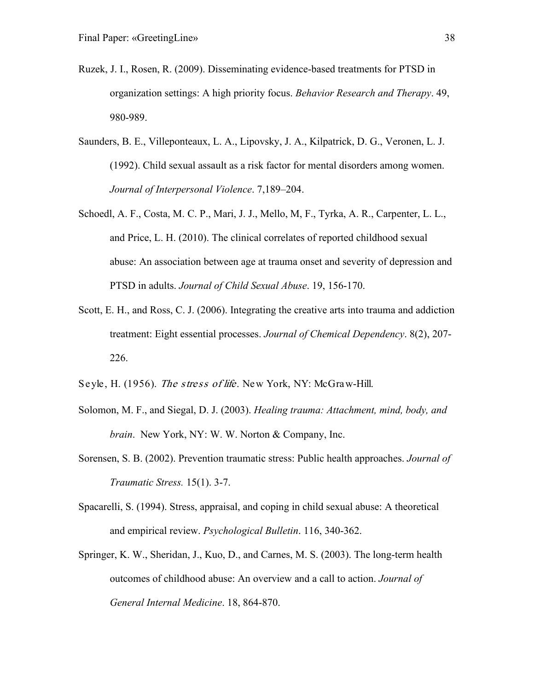- Ruzek, J. I., Rosen, R. (2009). Disseminating evidence-based treatments for PTSD in organization settings: A high priority focus. *Behavior Research and Therapy*. 49, 980-989.
- Saunders, B. E., Villeponteaux, L. A., Lipovsky, J. A., Kilpatrick, D. G., Veronen, L. J. (1992). Child sexual assault as a risk factor for mental disorders among women. *Journal of Interpersonal Violence*. 7,189–204.
- Schoedl, A. F., Costa, M. C. P., Mari, J. J., Mello, M, F., Tyrka, A. R., Carpenter, L. L., and Price, L. H. (2010). The clinical correlates of reported childhood sexual abuse: An association between age at trauma onset and severity of depression and PTSD in adults. *Journal of Child Sexual Abuse*. 19, 156-170.
- Scott, E. H., and Ross, C. J. (2006). Integrating the creative arts into trauma and addiction treatment: Eight essential processes. *Journal of Chemical Dependency*. 8(2), 207- 226.
- Seyle, H. (1956). The stress of life. New York, NY: McGraw-Hill.
- Solomon, M. F., and Siegal, D. J. (2003). *Healing trauma: Attachment, mind, body, and brain*. New York, NY: W. W. Norton & Company, Inc.
- Sorensen, S. B. (2002). Prevention traumatic stress: Public health approaches. *Journal of Traumatic Stress.* 15(1). 3-7.
- Spacarelli, S. (1994). Stress, appraisal, and coping in child sexual abuse: A theoretical and empirical review. *Psychological Bulletin*. 116, 340-362.
- Springer, K. W., Sheridan, J., Kuo, D., and Carnes, M. S. (2003). The long-term health outcomes of childhood abuse: An overview and a call to action. *Journal of General Internal Medicine*. 18, 864-870.